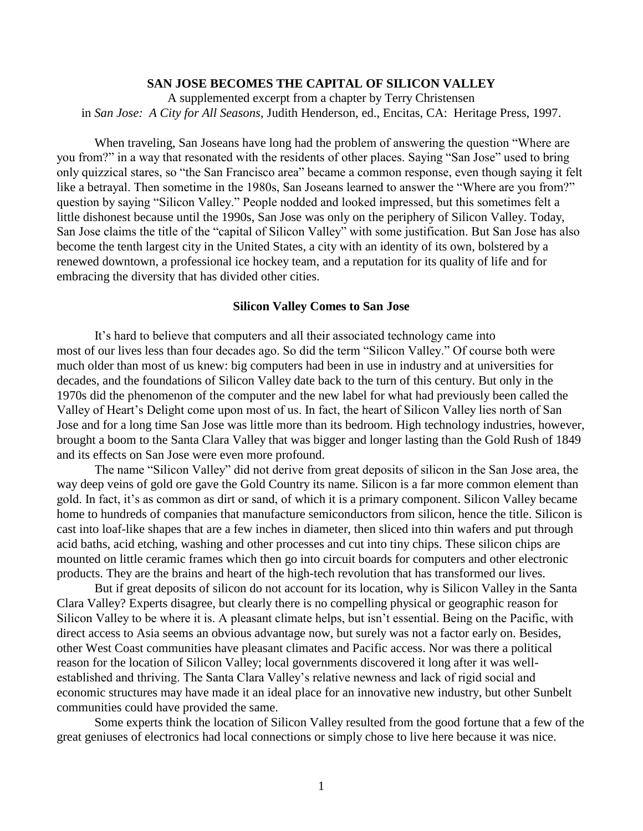# **SAN JOSE BECOMES THE CAPITAL OF SILICON VALLEY**

A supplemented excerpt from a chapter by Terry Christensen in *San Jose: A City for All Seasons*, Judith Henderson, ed., Encitas, CA: Heritage Press, 1997.

When traveling, San Joseans have long had the problem of answering the question "Where are you from?" in a way that resonated with the residents of other places. Saying "San Jose" used to bring only quizzical stares, so "the San Francisco area" became a common response, even though saying it felt like a betrayal. Then sometime in the 1980s, San Joseans learned to answer the "Where are you from?" question by saying "Silicon Valley." People nodded and looked impressed, but this sometimes felt a little dishonest because until the 1990s, San Jose was only on the periphery of Silicon Valley. Today, San Jose claims the title of the "capital of Silicon Valley" with some justification. But San Jose has also become the tenth largest city in the United States, a city with an identity of its own, bolstered by a renewed downtown, a professional ice hockey team, and a reputation for its quality of life and for embracing the diversity that has divided other cities.

#### **Silicon Valley Comes to San Jose**

It's hard to believe that computers and all their associated technology came into most of our lives less than four decades ago. So did the term "Silicon Valley." Of course both were much older than most of us knew: big computers had been in use in industry and at universities for decades, and the foundations of Silicon Valley date back to the turn of this century. But only in the 1970s did the phenomenon of the computer and the new label for what had previously been called the Valley of Heart's Delight come upon most of us. In fact, the heart of Silicon Valley lies north of San Jose and for a long time San Jose was little more than its bedroom. High technology industries, however, brought a boom to the Santa Clara Valley that was bigger and longer lasting than the Gold Rush of 1849 and its effects on San Jose were even more profound.

The name "Silicon Valley" did not derive from great deposits of silicon in the San Jose area, the way deep veins of gold ore gave the Gold Country its name. Silicon is a far more common element than gold. In fact, it's as common as dirt or sand, of which it is a primary component. Silicon Valley became home to hundreds of companies that manufacture semiconductors from silicon, hence the title. Silicon is cast into loaf-like shapes that are a few inches in diameter, then sliced into thin wafers and put through acid baths, acid etching, washing and other processes and cut into tiny chips. These silicon chips are mounted on little ceramic frames which then go into circuit boards for computers and other electronic products. They are the brains and heart of the high-tech revolution that has transformed our lives.

But if great deposits of silicon do not account for its location, why is Silicon Valley in the Santa Clara Valley? Experts disagree, but clearly there is no compelling physical or geographic reason for Silicon Valley to be where it is. A pleasant climate helps, but isn't essential. Being on the Pacific, with direct access to Asia seems an obvious advantage now, but surely was not a factor early on. Besides, other West Coast communities have pleasant climates and Pacific access. Nor was there a political reason for the location of Silicon Valley; local governments discovered it long after it was wellestablished and thriving. The Santa Clara Valley's relative newness and lack of rigid social and economic structures may have made it an ideal place for an innovative new industry, but other Sunbelt communities could have provided the same.

Some experts think the location of Silicon Valley resulted from the good fortune that a few of the great geniuses of electronics had local connections or simply chose to live here because it was nice.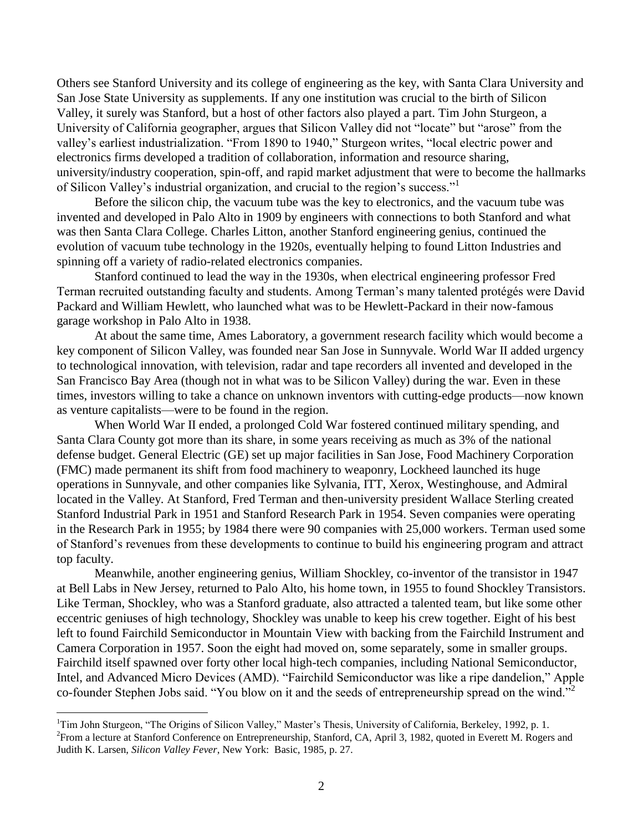Others see Stanford University and its college of engineering as the key, with Santa Clara University and San Jose State University as supplements. If any one institution was crucial to the birth of Silicon Valley, it surely was Stanford, but a host of other factors also played a part. Tim John Sturgeon, a University of California geographer, argues that Silicon Valley did not "locate" but "arose" from the valley's earliest industrialization. "From 1890 to 1940," Sturgeon writes, "local electric power and electronics firms developed a tradition of collaboration, information and resource sharing, university/industry cooperation, spin-off, and rapid market adjustment that were to become the hallmarks of Silicon Valley's industrial organization, and crucial to the region's success."<sup>1</sup>

Before the silicon chip, the vacuum tube was the key to electronics, and the vacuum tube was invented and developed in Palo Alto in 1909 by engineers with connections to both Stanford and what was then Santa Clara College. Charles Litton, another Stanford engineering genius, continued the evolution of vacuum tube technology in the 1920s, eventually helping to found Litton Industries and spinning off a variety of radio-related electronics companies.

Stanford continued to lead the way in the 1930s, when electrical engineering professor Fred Terman recruited outstanding faculty and students. Among Terman's many talented protégés were David Packard and William Hewlett, who launched what was to be Hewlett-Packard in their now-famous garage workshop in Palo Alto in 1938.

At about the same time, Ames Laboratory, a government research facility which would become a key component of Silicon Valley, was founded near San Jose in Sunnyvale. World War II added urgency to technological innovation, with television, radar and tape recorders all invented and developed in the San Francisco Bay Area (though not in what was to be Silicon Valley) during the war. Even in these times, investors willing to take a chance on unknown inventors with cutting-edge products—now known as venture capitalists—were to be found in the region.

When World War II ended, a prolonged Cold War fostered continued military spending, and Santa Clara County got more than its share, in some years receiving as much as 3% of the national defense budget. General Electric (GE) set up major facilities in San Jose, Food Machinery Corporation (FMC) made permanent its shift from food machinery to weaponry, Lockheed launched its huge operations in Sunnyvale, and other companies like Sylvania, ITT, Xerox, Westinghouse, and Admiral located in the Valley. At Stanford, Fred Terman and then-university president Wallace Sterling created Stanford Industrial Park in 1951 and Stanford Research Park in 1954. Seven companies were operating in the Research Park in 1955; by 1984 there were 90 companies with 25,000 workers. Terman used some of Stanford's revenues from these developments to continue to build his engineering program and attract top faculty.

Meanwhile, another engineering genius, William Shockley, co-inventor of the transistor in 1947 at Bell Labs in New Jersey, returned to Palo Alto, his home town, in 1955 to found Shockley Transistors. Like Terman, Shockley, who was a Stanford graduate, also attracted a talented team, but like some other eccentric geniuses of high technology, Shockley was unable to keep his crew together. Eight of his best left to found Fairchild Semiconductor in Mountain View with backing from the Fairchild Instrument and Camera Corporation in 1957. Soon the eight had moved on, some separately, some in smaller groups. Fairchild itself spawned over forty other local high-tech companies, including National Semiconductor, Intel, and Advanced Micro Devices (AMD). "Fairchild Semiconductor was like a ripe dandelion," Apple co-founder Stephen Jobs said. "You blow on it and the seeds of entrepreneurship spread on the wind."<sup>2</sup>

<sup>&</sup>lt;sup>1</sup>Tim John Sturgeon, "The Origins of Silicon Valley," Master's Thesis, University of California, Berkeley, 1992, p. 1. <sup>2</sup> From a lecture at Stanford Conference on Entrepreneurship, Stanford, CA, April 3, 1982, quoted in Everett M. Rogers and Judith K. Larsen, *Silicon Valley Fever*, New York: Basic, 1985, p. 27.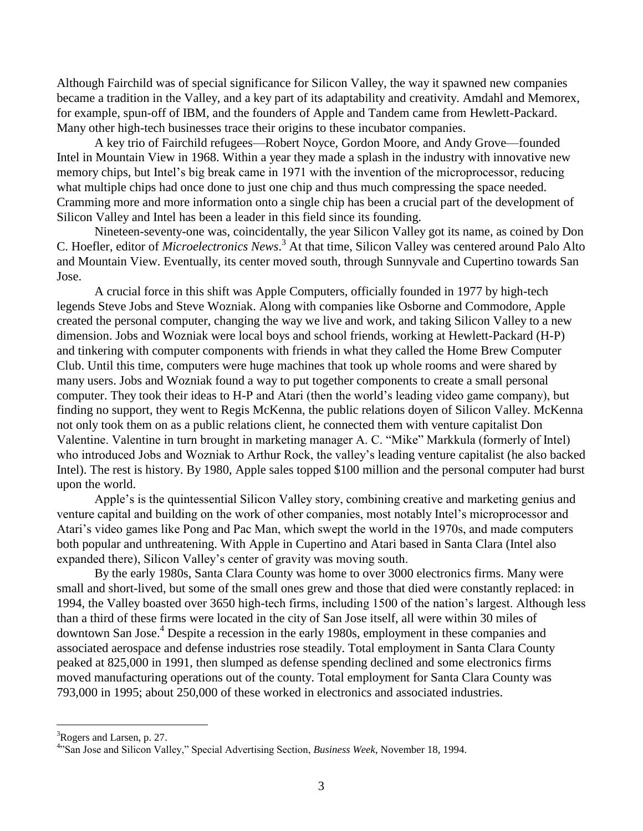Although Fairchild was of special significance for Silicon Valley, the way it spawned new companies became a tradition in the Valley, and a key part of its adaptability and creativity. Amdahl and Memorex, for example, spun-off of IBM, and the founders of Apple and Tandem came from Hewlett-Packard. Many other high-tech businesses trace their origins to these incubator companies.

A key trio of Fairchild refugees—Robert Noyce, Gordon Moore, and Andy Grove—founded Intel in Mountain View in 1968. Within a year they made a splash in the industry with innovative new memory chips, but Intel's big break came in 1971 with the invention of the microprocessor, reducing what multiple chips had once done to just one chip and thus much compressing the space needed. Cramming more and more information onto a single chip has been a crucial part of the development of Silicon Valley and Intel has been a leader in this field since its founding.

Nineteen-seventy-one was, coincidentally, the year Silicon Valley got its name, as coined by Don C. Hoefler, editor of *Microelectronics News*. <sup>3</sup> At that time, Silicon Valley was centered around Palo Alto and Mountain View. Eventually, its center moved south, through Sunnyvale and Cupertino towards San Jose.

A crucial force in this shift was Apple Computers, officially founded in 1977 by high-tech legends Steve Jobs and Steve Wozniak. Along with companies like Osborne and Commodore, Apple created the personal computer, changing the way we live and work, and taking Silicon Valley to a new dimension. Jobs and Wozniak were local boys and school friends, working at Hewlett-Packard (H-P) and tinkering with computer components with friends in what they called the Home Brew Computer Club. Until this time, computers were huge machines that took up whole rooms and were shared by many users. Jobs and Wozniak found a way to put together components to create a small personal computer. They took their ideas to H-P and Atari (then the world's leading video game company), but finding no support, they went to Regis McKenna, the public relations doyen of Silicon Valley. McKenna not only took them on as a public relations client, he connected them with venture capitalist Don Valentine. Valentine in turn brought in marketing manager A. C. "Mike" Markkula (formerly of Intel) who introduced Jobs and Wozniak to Arthur Rock, the valley's leading venture capitalist (he also backed Intel). The rest is history. By 1980, Apple sales topped \$100 million and the personal computer had burst upon the world.

Apple's is the quintessential Silicon Valley story, combining creative and marketing genius and venture capital and building on the work of other companies, most notably Intel's microprocessor and Atari's video games like Pong and Pac Man, which swept the world in the 1970s, and made computers both popular and unthreatening. With Apple in Cupertino and Atari based in Santa Clara (Intel also expanded there), Silicon Valley's center of gravity was moving south.

By the early 1980s, Santa Clara County was home to over 3000 electronics firms. Many were small and short-lived, but some of the small ones grew and those that died were constantly replaced: in 1994, the Valley boasted over 3650 high-tech firms, including 1500 of the nation's largest. Although less than a third of these firms were located in the city of San Jose itself, all were within 30 miles of downtown San Jose.<sup>4</sup> Despite a recession in the early 1980s, employment in these companies and associated aerospace and defense industries rose steadily. Total employment in Santa Clara County peaked at 825,000 in 1991, then slumped as defense spending declined and some electronics firms moved manufacturing operations out of the county. Total employment for Santa Clara County was 793,000 in 1995; about 250,000 of these worked in electronics and associated industries.

<sup>&</sup>lt;sup>3</sup>Rogers and Larsen, p. 27.

<sup>4</sup> "San Jose and Silicon Valley," Special Advertising Section, *Business Week*, November 18, 1994.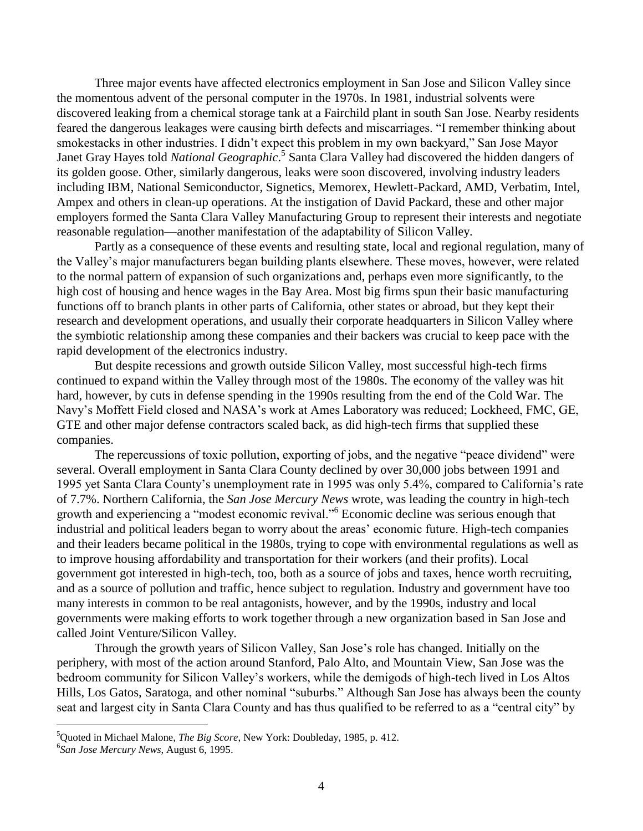Three major events have affected electronics employment in San Jose and Silicon Valley since the momentous advent of the personal computer in the 1970s. In 1981, industrial solvents were discovered leaking from a chemical storage tank at a Fairchild plant in south San Jose. Nearby residents feared the dangerous leakages were causing birth defects and miscarriages. "I remember thinking about smokestacks in other industries. I didn't expect this problem in my own backyard," San Jose Mayor Janet Gray Hayes told *National Geographic*. 5 Santa Clara Valley had discovered the hidden dangers of its golden goose. Other, similarly dangerous, leaks were soon discovered, involving industry leaders including IBM, National Semiconductor, Signetics, Memorex, Hewlett-Packard, AMD, Verbatim, Intel, Ampex and others in clean-up operations. At the instigation of David Packard, these and other major employers formed the Santa Clara Valley Manufacturing Group to represent their interests and negotiate reasonable regulation—another manifestation of the adaptability of Silicon Valley.

Partly as a consequence of these events and resulting state, local and regional regulation, many of the Valley's major manufacturers began building plants elsewhere. These moves, however, were related to the normal pattern of expansion of such organizations and, perhaps even more significantly, to the high cost of housing and hence wages in the Bay Area. Most big firms spun their basic manufacturing functions off to branch plants in other parts of California, other states or abroad, but they kept their research and development operations, and usually their corporate headquarters in Silicon Valley where the symbiotic relationship among these companies and their backers was crucial to keep pace with the rapid development of the electronics industry.

But despite recessions and growth outside Silicon Valley, most successful high-tech firms continued to expand within the Valley through most of the 1980s. The economy of the valley was hit hard, however, by cuts in defense spending in the 1990s resulting from the end of the Cold War. The Navy's Moffett Field closed and NASA's work at Ames Laboratory was reduced; Lockheed, FMC, GE, GTE and other major defense contractors scaled back, as did high-tech firms that supplied these companies.

The repercussions of toxic pollution, exporting of jobs, and the negative "peace dividend" were several. Overall employment in Santa Clara County declined by over 30,000 jobs between 1991 and 1995 yet Santa Clara County's unemployment rate in 1995 was only 5.4%, compared to California's rate of 7.7%. Northern California, the *San Jose Mercury News* wrote, was leading the country in high-tech growth and experiencing a "modest economic revival."<sup>6</sup> Economic decline was serious enough that industrial and political leaders began to worry about the areas' economic future. High-tech companies and their leaders became political in the 1980s, trying to cope with environmental regulations as well as to improve housing affordability and transportation for their workers (and their profits). Local government got interested in high-tech, too, both as a source of jobs and taxes, hence worth recruiting, and as a source of pollution and traffic, hence subject to regulation. Industry and government have too many interests in common to be real antagonists, however, and by the 1990s, industry and local governments were making efforts to work together through a new organization based in San Jose and called Joint Venture/Silicon Valley.

Through the growth years of Silicon Valley, San Jose's role has changed. Initially on the periphery, with most of the action around Stanford, Palo Alto, and Mountain View, San Jose was the bedroom community for Silicon Valley's workers, while the demigods of high-tech lived in Los Altos Hills, Los Gatos, Saratoga, and other nominal "suburbs." Although San Jose has always been the county seat and largest city in Santa Clara County and has thus qualified to be referred to as a "central city" by

<sup>5</sup>Quoted in Michael Malone, *The Big Score*, New York: Doubleday, 1985, p. 412.

<sup>6</sup> *San Jose Mercury News*, August 6, 1995.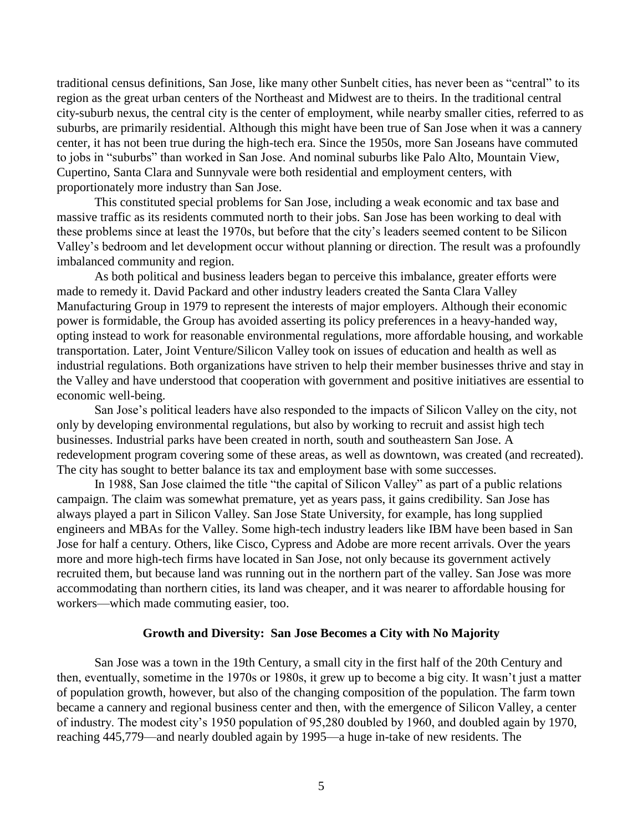traditional census definitions, San Jose, like many other Sunbelt cities, has never been as "central" to its region as the great urban centers of the Northeast and Midwest are to theirs. In the traditional central city-suburb nexus, the central city is the center of employment, while nearby smaller cities, referred to as suburbs, are primarily residential. Although this might have been true of San Jose when it was a cannery center, it has not been true during the high-tech era. Since the 1950s, more San Joseans have commuted to jobs in "suburbs" than worked in San Jose. And nominal suburbs like Palo Alto, Mountain View, Cupertino, Santa Clara and Sunnyvale were both residential and employment centers, with proportionately more industry than San Jose.

This constituted special problems for San Jose, including a weak economic and tax base and massive traffic as its residents commuted north to their jobs. San Jose has been working to deal with these problems since at least the 1970s, but before that the city's leaders seemed content to be Silicon Valley's bedroom and let development occur without planning or direction. The result was a profoundly imbalanced community and region.

As both political and business leaders began to perceive this imbalance, greater efforts were made to remedy it. David Packard and other industry leaders created the Santa Clara Valley Manufacturing Group in 1979 to represent the interests of major employers. Although their economic power is formidable, the Group has avoided asserting its policy preferences in a heavy-handed way, opting instead to work for reasonable environmental regulations, more affordable housing, and workable transportation. Later, Joint Venture/Silicon Valley took on issues of education and health as well as industrial regulations. Both organizations have striven to help their member businesses thrive and stay in the Valley and have understood that cooperation with government and positive initiatives are essential to economic well-being.

San Jose's political leaders have also responded to the impacts of Silicon Valley on the city, not only by developing environmental regulations, but also by working to recruit and assist high tech businesses. Industrial parks have been created in north, south and southeastern San Jose. A redevelopment program covering some of these areas, as well as downtown, was created (and recreated). The city has sought to better balance its tax and employment base with some successes.

In 1988, San Jose claimed the title "the capital of Silicon Valley" as part of a public relations campaign. The claim was somewhat premature, yet as years pass, it gains credibility. San Jose has always played a part in Silicon Valley. San Jose State University, for example, has long supplied engineers and MBAs for the Valley. Some high-tech industry leaders like IBM have been based in San Jose for half a century. Others, like Cisco, Cypress and Adobe are more recent arrivals. Over the years more and more high-tech firms have located in San Jose, not only because its government actively recruited them, but because land was running out in the northern part of the valley. San Jose was more accommodating than northern cities, its land was cheaper, and it was nearer to affordable housing for workers—which made commuting easier, too.

#### **Growth and Diversity: San Jose Becomes a City with No Majority**

San Jose was a town in the 19th Century, a small city in the first half of the 20th Century and then, eventually, sometime in the 1970s or 1980s, it grew up to become a big city. It wasn't just a matter of population growth, however, but also of the changing composition of the population. The farm town became a cannery and regional business center and then, with the emergence of Silicon Valley, a center of industry. The modest city's 1950 population of 95,280 doubled by 1960, and doubled again by 1970, reaching 445,779—and nearly doubled again by 1995—a huge in-take of new residents. The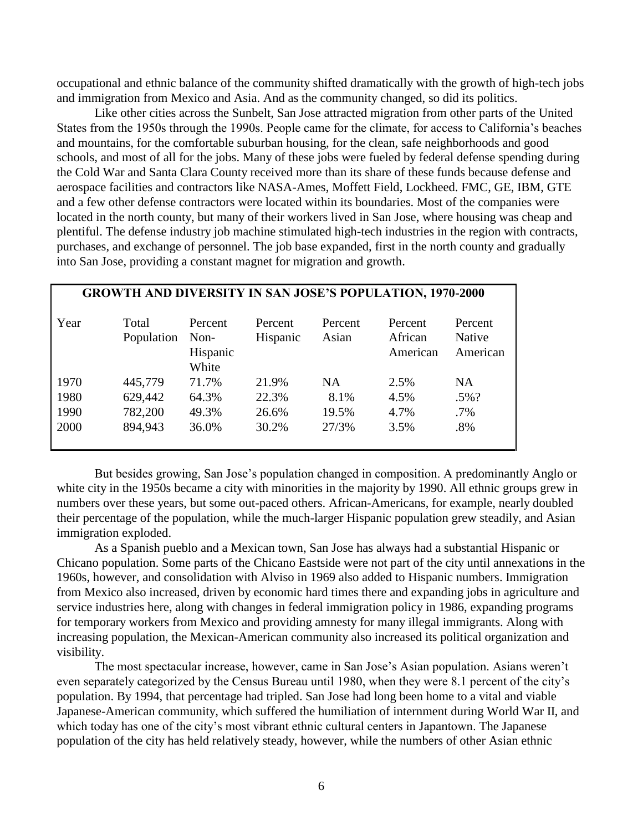occupational and ethnic balance of the community shifted dramatically with the growth of high-tech jobs and immigration from Mexico and Asia. And as the community changed, so did its politics.

Like other cities across the Sunbelt, San Jose attracted migration from other parts of the United States from the 1950s through the 1990s. People came for the climate, for access to California's beaches and mountains, for the comfortable suburban housing, for the clean, safe neighborhoods and good schools, and most of all for the jobs. Many of these jobs were fueled by federal defense spending during the Cold War and Santa Clara County received more than its share of these funds because defense and aerospace facilities and contractors like NASA-Ames, Moffett Field, Lockheed. FMC, GE, IBM, GTE and a few other defense contractors were located within its boundaries. Most of the companies were located in the north county, but many of their workers lived in San Jose, where housing was cheap and plentiful. The defense industry job machine stimulated high-tech industries in the region with contracts, purchases, and exchange of personnel. The job base expanded, first in the north county and gradually into San Jose, providing a constant magnet for migration and growth.

| <b>GROWTH AND DIVERSITY IN SAN JOSE'S POPULATION, 1970-2000</b> |                     |                                      |                     |                  |                                |                                      |
|-----------------------------------------------------------------|---------------------|--------------------------------------|---------------------|------------------|--------------------------------|--------------------------------------|
| Year                                                            | Total<br>Population | Percent<br>Non-<br>Hispanic<br>White | Percent<br>Hispanic | Percent<br>Asian | Percent<br>African<br>American | Percent<br><b>Native</b><br>American |
| 1970                                                            | 445,779             | 71.7%                                | 21.9%               | NA.              | 2.5%                           | <b>NA</b>                            |
| 1980                                                            | 629,442             | 64.3%                                | 22.3%               | 8.1%             | 4.5%                           | $.5\%$ ?                             |
| 1990                                                            | 782,200             | 49.3%                                | 26.6%               | 19.5%            | 4.7%                           | $.7\%$                               |
| 2000                                                            | 894,943             | 36.0%                                | 30.2%               | 27/3%            | 3.5%                           | .8%                                  |

But besides growing, San Jose's population changed in composition. A predominantly Anglo or white city in the 1950s became a city with minorities in the majority by 1990. All ethnic groups grew in numbers over these years, but some out-paced others. African-Americans, for example, nearly doubled their percentage of the population, while the much-larger Hispanic population grew steadily, and Asian immigration exploded.

As a Spanish pueblo and a Mexican town, San Jose has always had a substantial Hispanic or Chicano population. Some parts of the Chicano Eastside were not part of the city until annexations in the 1960s, however, and consolidation with Alviso in 1969 also added to Hispanic numbers. Immigration from Mexico also increased, driven by economic hard times there and expanding jobs in agriculture and service industries here, along with changes in federal immigration policy in 1986, expanding programs for temporary workers from Mexico and providing amnesty for many illegal immigrants. Along with increasing population, the Mexican-American community also increased its political organization and visibility.

The most spectacular increase, however, came in San Jose's Asian population. Asians weren't even separately categorized by the Census Bureau until 1980, when they were 8.1 percent of the city's population. By 1994, that percentage had tripled. San Jose had long been home to a vital and viable Japanese-American community, which suffered the humiliation of internment during World War II, and which today has one of the city's most vibrant ethnic cultural centers in Japantown. The Japanese population of the city has held relatively steady, however, while the numbers of other Asian ethnic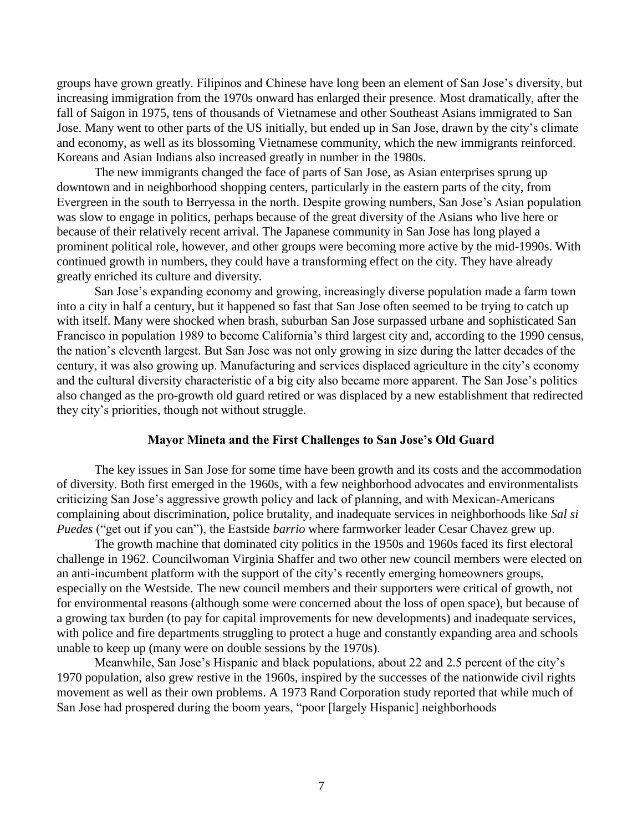groups have grown greatly. Filipinos and Chinese have long been an element of San Jose's diversity, but increasing immigration from the 1970s onward has enlarged their presence. Most dramatically, after the fall of Saigon in 1975, tens of thousands of Vietnamese and other Southeast Asians immigrated to San Jose. Many went to other parts of the US initially, but ended up in San Jose, drawn by the city's climate and economy, as well as its blossoming Vietnamese community, which the new immigrants reinforced. Koreans and Asian Indians also increased greatly in number in the 1980s.

The new immigrants changed the face of parts of San Jose, as Asian enterprises sprung up downtown and in neighborhood shopping centers, particularly in the eastern parts of the city, from Evergreen in the south to Berryessa in the north. Despite growing numbers, San Jose's Asian population was slow to engage in politics, perhaps because of the great diversity of the Asians who live here or because of their relatively recent arrival. The Japanese community in San Jose has long played a prominent political role, however, and other groups were becoming more active by the mid-1990s. With continued growth in numbers, they could have a transforming effect on the city. They have already greatly enriched its culture and diversity.

San Jose's expanding economy and growing, increasingly diverse population made a farm town into a city in half a century, but it happened so fast that San Jose often seemed to be trying to catch up with itself. Many were shocked when brash, suburban San Jose surpassed urbane and sophisticated San Francisco in population 1989 to become California's third largest city and, according to the 1990 census, the nation's eleventh largest. But San Jose was not only growing in size during the latter decades of the century, it was also growing up. Manufacturing and services displaced agriculture in the city's economy and the cultural diversity characteristic of a big city also became more apparent. The San Jose's politics also changed as the pro-growth old guard retired or was displaced by a new establishment that redirected they city's priorities, though not without struggle.

### **Mayor Mineta and the First Challenges to San Jose's Old Guard**

The key issues in San Jose for some time have been growth and its costs and the accommodation of diversity. Both first emerged in the 1960s, with a few neighborhood advocates and environmentalists criticizing San Jose's aggressive growth policy and lack of planning, and with Mexican-Americans complaining about discrimination, police brutality, and inadequate services in neighborhoods like *Sal si Puedes* ("get out if you can"), the Eastside *barrio* where farmworker leader Cesar Chavez grew up.

The growth machine that dominated city politics in the 1950s and 1960s faced its first electoral challenge in 1962. Councilwoman Virginia Shaffer and two other new council members were elected on an anti-incumbent platform with the support of the city's recently emerging homeowners groups, especially on the Westside. The new council members and their supporters were critical of growth, not for environmental reasons (although some were concerned about the loss of open space), but because of a growing tax burden (to pay for capital improvements for new developments) and inadequate services, with police and fire departments struggling to protect a huge and constantly expanding area and schools unable to keep up (many were on double sessions by the 1970s).

Meanwhile, San Jose's Hispanic and black populations, about 22 and 2.5 percent of the city's 1970 population, also grew restive in the 1960s, inspired by the successes of the nationwide civil rights movement as well as their own problems. A 1973 Rand Corporation study reported that while much of San Jose had prospered during the boom years, "poor [largely Hispanic] neighborhoods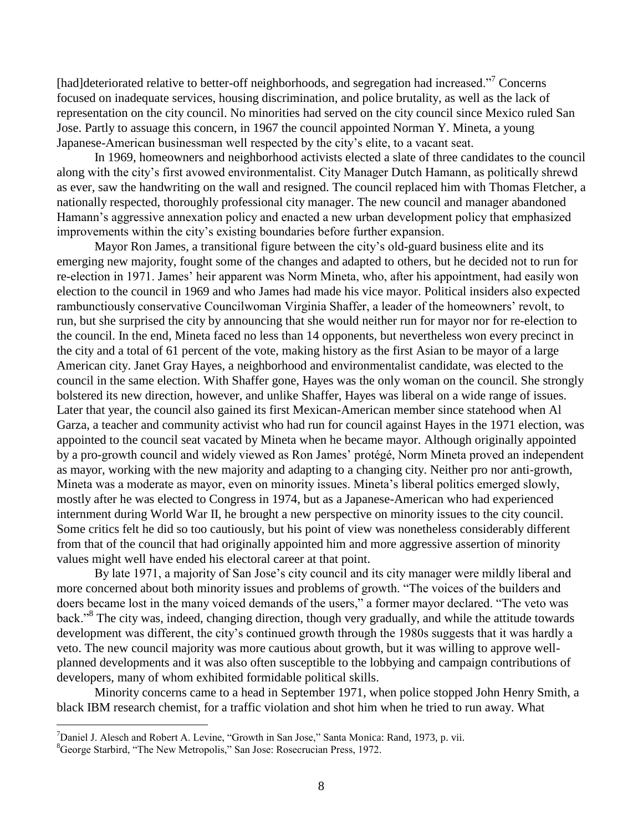[had]deteriorated relative to better-off neighborhoods, and segregation had increased."<sup>7</sup> Concerns focused on inadequate services, housing discrimination, and police brutality, as well as the lack of representation on the city council. No minorities had served on the city council since Mexico ruled San Jose. Partly to assuage this concern, in 1967 the council appointed Norman Y. Mineta, a young Japanese-American businessman well respected by the city's elite, to a vacant seat.

In 1969, homeowners and neighborhood activists elected a slate of three candidates to the council along with the city's first avowed environmentalist. City Manager Dutch Hamann, as politically shrewd as ever, saw the handwriting on the wall and resigned. The council replaced him with Thomas Fletcher, a nationally respected, thoroughly professional city manager. The new council and manager abandoned Hamann's aggressive annexation policy and enacted a new urban development policy that emphasized improvements within the city's existing boundaries before further expansion.

Mayor Ron James, a transitional figure between the city's old-guard business elite and its emerging new majority, fought some of the changes and adapted to others, but he decided not to run for re-election in 1971. James' heir apparent was Norm Mineta, who, after his appointment, had easily won election to the council in 1969 and who James had made his vice mayor. Political insiders also expected rambunctiously conservative Councilwoman Virginia Shaffer, a leader of the homeowners' revolt, to run, but she surprised the city by announcing that she would neither run for mayor nor for re-election to the council. In the end, Mineta faced no less than 14 opponents, but nevertheless won every precinct in the city and a total of 61 percent of the vote, making history as the first Asian to be mayor of a large American city. Janet Gray Hayes, a neighborhood and environmentalist candidate, was elected to the council in the same election. With Shaffer gone, Hayes was the only woman on the council. She strongly bolstered its new direction, however, and unlike Shaffer, Hayes was liberal on a wide range of issues. Later that year, the council also gained its first Mexican-American member since statehood when Al Garza, a teacher and community activist who had run for council against Hayes in the 1971 election, was appointed to the council seat vacated by Mineta when he became mayor. Although originally appointed by a pro-growth council and widely viewed as Ron James' protégé, Norm Mineta proved an independent as mayor, working with the new majority and adapting to a changing city. Neither pro nor anti-growth, Mineta was a moderate as mayor, even on minority issues. Mineta's liberal politics emerged slowly, mostly after he was elected to Congress in 1974, but as a Japanese-American who had experienced internment during World War II, he brought a new perspective on minority issues to the city council. Some critics felt he did so too cautiously, but his point of view was nonetheless considerably different from that of the council that had originally appointed him and more aggressive assertion of minority values might well have ended his electoral career at that point.

By late 1971, a majority of San Jose's city council and its city manager were mildly liberal and more concerned about both minority issues and problems of growth. "The voices of the builders and doers became lost in the many voiced demands of the users," a former mayor declared. "The veto was back."<sup>8</sup> The city was, indeed, changing direction, though very gradually, and while the attitude towards development was different, the city's continued growth through the 1980s suggests that it was hardly a veto. The new council majority was more cautious about growth, but it was willing to approve wellplanned developments and it was also often susceptible to the lobbying and campaign contributions of developers, many of whom exhibited formidable political skills.

Minority concerns came to a head in September 1971, when police stopped John Henry Smith, a black IBM research chemist, for a traffic violation and shot him when he tried to run away. What

<sup>&</sup>lt;sup>7</sup>Daniel J. Alesch and Robert A. Levine, "Growth in San Jose," Santa Monica: Rand, 1973, p. vii.

<sup>8</sup>George Starbird, "The New Metropolis," San Jose: Rosecrucian Press, 1972.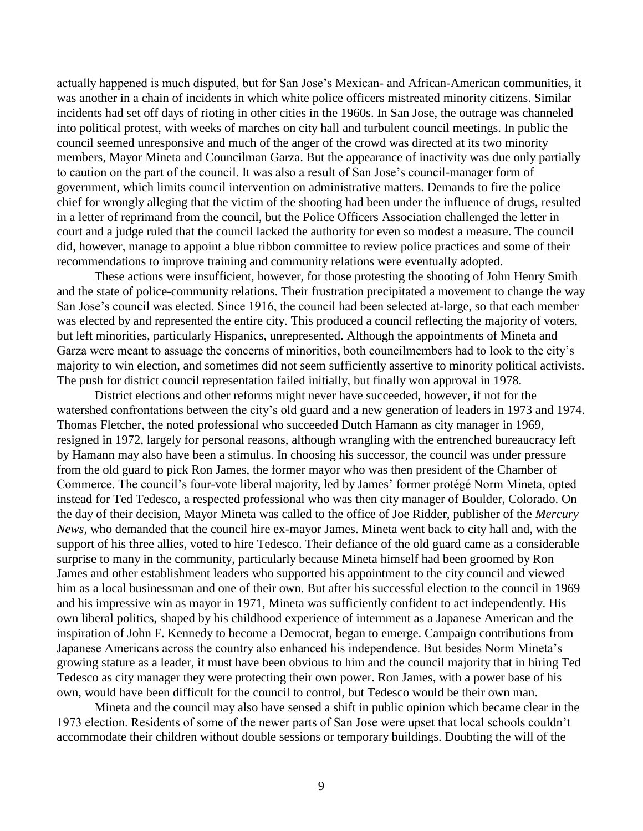actually happened is much disputed, but for San Jose's Mexican- and African-American communities, it was another in a chain of incidents in which white police officers mistreated minority citizens. Similar incidents had set off days of rioting in other cities in the 1960s. In San Jose, the outrage was channeled into political protest, with weeks of marches on city hall and turbulent council meetings. In public the council seemed unresponsive and much of the anger of the crowd was directed at its two minority members, Mayor Mineta and Councilman Garza. But the appearance of inactivity was due only partially to caution on the part of the council. It was also a result of San Jose's council-manager form of government, which limits council intervention on administrative matters. Demands to fire the police chief for wrongly alleging that the victim of the shooting had been under the influence of drugs, resulted in a letter of reprimand from the council, but the Police Officers Association challenged the letter in court and a judge ruled that the council lacked the authority for even so modest a measure. The council did, however, manage to appoint a blue ribbon committee to review police practices and some of their recommendations to improve training and community relations were eventually adopted.

These actions were insufficient, however, for those protesting the shooting of John Henry Smith and the state of police-community relations. Their frustration precipitated a movement to change the way San Jose's council was elected. Since 1916, the council had been selected at-large, so that each member was elected by and represented the entire city. This produced a council reflecting the majority of voters, but left minorities, particularly Hispanics, unrepresented. Although the appointments of Mineta and Garza were meant to assuage the concerns of minorities, both councilmembers had to look to the city's majority to win election, and sometimes did not seem sufficiently assertive to minority political activists. The push for district council representation failed initially, but finally won approval in 1978.

District elections and other reforms might never have succeeded, however, if not for the watershed confrontations between the city's old guard and a new generation of leaders in 1973 and 1974. Thomas Fletcher, the noted professional who succeeded Dutch Hamann as city manager in 1969, resigned in 1972, largely for personal reasons, although wrangling with the entrenched bureaucracy left by Hamann may also have been a stimulus. In choosing his successor, the council was under pressure from the old guard to pick Ron James, the former mayor who was then president of the Chamber of Commerce. The council's four-vote liberal majority, led by James' former protégé Norm Mineta, opted instead for Ted Tedesco, a respected professional who was then city manager of Boulder, Colorado. On the day of their decision, Mayor Mineta was called to the office of Joe Ridder, publisher of the *Mercury News,* who demanded that the council hire ex-mayor James. Mineta went back to city hall and, with the support of his three allies, voted to hire Tedesco. Their defiance of the old guard came as a considerable surprise to many in the community, particularly because Mineta himself had been groomed by Ron James and other establishment leaders who supported his appointment to the city council and viewed him as a local businessman and one of their own. But after his successful election to the council in 1969 and his impressive win as mayor in 1971, Mineta was sufficiently confident to act independently. His own liberal politics, shaped by his childhood experience of internment as a Japanese American and the inspiration of John F. Kennedy to become a Democrat, began to emerge. Campaign contributions from Japanese Americans across the country also enhanced his independence. But besides Norm Mineta's growing stature as a leader, it must have been obvious to him and the council majority that in hiring Ted Tedesco as city manager they were protecting their own power. Ron James, with a power base of his own, would have been difficult for the council to control, but Tedesco would be their own man.

Mineta and the council may also have sensed a shift in public opinion which became clear in the 1973 election. Residents of some of the newer parts of San Jose were upset that local schools couldn't accommodate their children without double sessions or temporary buildings. Doubting the will of the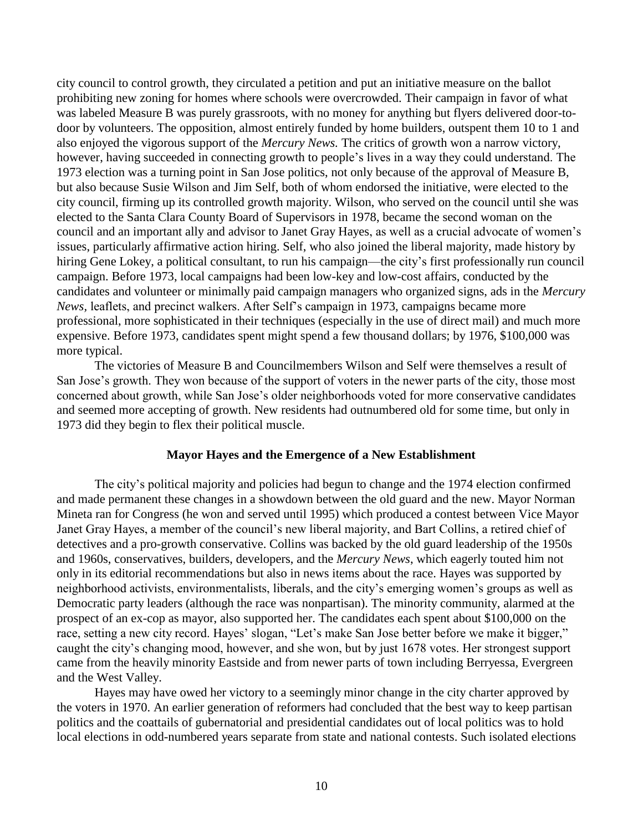city council to control growth, they circulated a petition and put an initiative measure on the ballot prohibiting new zoning for homes where schools were overcrowded. Their campaign in favor of what was labeled Measure B was purely grassroots, with no money for anything but flyers delivered door-todoor by volunteers. The opposition, almost entirely funded by home builders, outspent them 10 to 1 and also enjoyed the vigorous support of the *Mercury News.* The critics of growth won a narrow victory, however, having succeeded in connecting growth to people's lives in a way they could understand. The 1973 election was a turning point in San Jose politics, not only because of the approval of Measure B, but also because Susie Wilson and Jim Self, both of whom endorsed the initiative, were elected to the city council, firming up its controlled growth majority. Wilson, who served on the council until she was elected to the Santa Clara County Board of Supervisors in 1978, became the second woman on the council and an important ally and advisor to Janet Gray Hayes, as well as a crucial advocate of women's issues, particularly affirmative action hiring. Self, who also joined the liberal majority, made history by hiring Gene Lokey, a political consultant, to run his campaign—the city's first professionally run council campaign. Before 1973, local campaigns had been low-key and low-cost affairs, conducted by the candidates and volunteer or minimally paid campaign managers who organized signs, ads in the *Mercury News,* leaflets, and precinct walkers. After Self's campaign in 1973, campaigns became more professional, more sophisticated in their techniques (especially in the use of direct mail) and much more expensive. Before 1973, candidates spent might spend a few thousand dollars; by 1976, \$100,000 was more typical.

The victories of Measure B and Councilmembers Wilson and Self were themselves a result of San Jose's growth. They won because of the support of voters in the newer parts of the city, those most concerned about growth, while San Jose's older neighborhoods voted for more conservative candidates and seemed more accepting of growth. New residents had outnumbered old for some time, but only in 1973 did they begin to flex their political muscle.

## **Mayor Hayes and the Emergence of a New Establishment**

The city's political majority and policies had begun to change and the 1974 election confirmed and made permanent these changes in a showdown between the old guard and the new. Mayor Norman Mineta ran for Congress (he won and served until 1995) which produced a contest between Vice Mayor Janet Gray Hayes, a member of the council's new liberal majority, and Bart Collins, a retired chief of detectives and a pro-growth conservative. Collins was backed by the old guard leadership of the 1950s and 1960s, conservatives, builders, developers, and the *Mercury News*, which eagerly touted him not only in its editorial recommendations but also in news items about the race. Hayes was supported by neighborhood activists, environmentalists, liberals, and the city's emerging women's groups as well as Democratic party leaders (although the race was nonpartisan). The minority community, alarmed at the prospect of an ex-cop as mayor, also supported her. The candidates each spent about \$100,000 on the race, setting a new city record. Hayes' slogan, "Let's make San Jose better before we make it bigger," caught the city's changing mood, however, and she won, but by just 1678 votes. Her strongest support came from the heavily minority Eastside and from newer parts of town including Berryessa, Evergreen and the West Valley.

Hayes may have owed her victory to a seemingly minor change in the city charter approved by the voters in 1970. An earlier generation of reformers had concluded that the best way to keep partisan politics and the coattails of gubernatorial and presidential candidates out of local politics was to hold local elections in odd-numbered years separate from state and national contests. Such isolated elections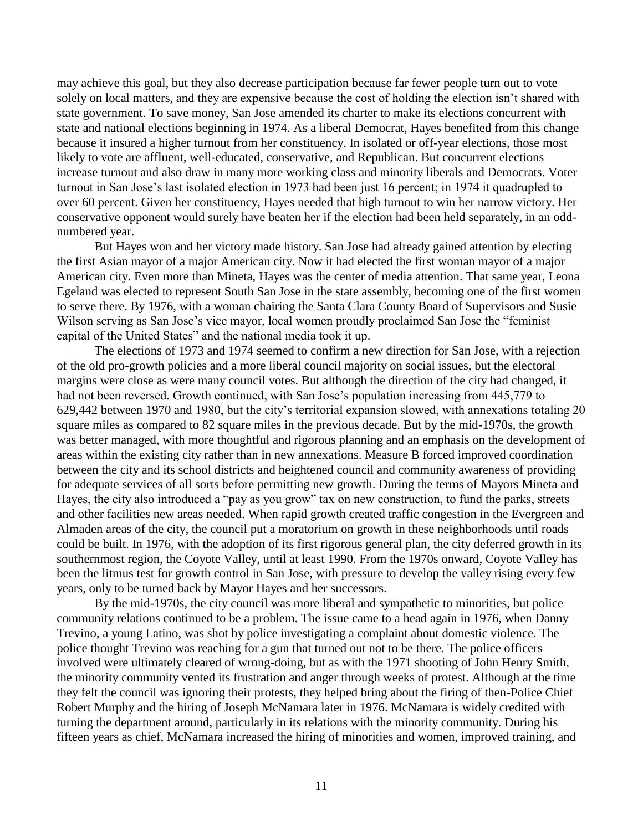may achieve this goal, but they also decrease participation because far fewer people turn out to vote solely on local matters, and they are expensive because the cost of holding the election isn't shared with state government. To save money, San Jose amended its charter to make its elections concurrent with state and national elections beginning in 1974. As a liberal Democrat, Hayes benefited from this change because it insured a higher turnout from her constituency. In isolated or off-year elections, those most likely to vote are affluent, well-educated, conservative, and Republican. But concurrent elections increase turnout and also draw in many more working class and minority liberals and Democrats. Voter turnout in San Jose's last isolated election in 1973 had been just 16 percent; in 1974 it quadrupled to over 60 percent. Given her constituency, Hayes needed that high turnout to win her narrow victory. Her conservative opponent would surely have beaten her if the election had been held separately, in an oddnumbered year.

But Hayes won and her victory made history. San Jose had already gained attention by electing the first Asian mayor of a major American city. Now it had elected the first woman mayor of a major American city. Even more than Mineta, Hayes was the center of media attention. That same year, Leona Egeland was elected to represent South San Jose in the state assembly, becoming one of the first women to serve there. By 1976, with a woman chairing the Santa Clara County Board of Supervisors and Susie Wilson serving as San Jose's vice mayor, local women proudly proclaimed San Jose the "feminist capital of the United States" and the national media took it up.

The elections of 1973 and 1974 seemed to confirm a new direction for San Jose, with a rejection of the old pro-growth policies and a more liberal council majority on social issues, but the electoral margins were close as were many council votes. But although the direction of the city had changed, it had not been reversed. Growth continued, with San Jose's population increasing from 445,779 to 629,442 between 1970 and 1980, but the city's territorial expansion slowed, with annexations totaling 20 square miles as compared to 82 square miles in the previous decade. But by the mid-1970s, the growth was better managed, with more thoughtful and rigorous planning and an emphasis on the development of areas within the existing city rather than in new annexations. Measure B forced improved coordination between the city and its school districts and heightened council and community awareness of providing for adequate services of all sorts before permitting new growth. During the terms of Mayors Mineta and Hayes, the city also introduced a "pay as you grow" tax on new construction, to fund the parks, streets and other facilities new areas needed. When rapid growth created traffic congestion in the Evergreen and Almaden areas of the city, the council put a moratorium on growth in these neighborhoods until roads could be built. In 1976, with the adoption of its first rigorous general plan, the city deferred growth in its southernmost region, the Coyote Valley, until at least 1990. From the 1970s onward, Coyote Valley has been the litmus test for growth control in San Jose, with pressure to develop the valley rising every few years, only to be turned back by Mayor Hayes and her successors.

By the mid-1970s, the city council was more liberal and sympathetic to minorities, but police community relations continued to be a problem. The issue came to a head again in 1976, when Danny Trevino, a young Latino, was shot by police investigating a complaint about domestic violence. The police thought Trevino was reaching for a gun that turned out not to be there. The police officers involved were ultimately cleared of wrong-doing, but as with the 1971 shooting of John Henry Smith, the minority community vented its frustration and anger through weeks of protest. Although at the time they felt the council was ignoring their protests, they helped bring about the firing of then-Police Chief Robert Murphy and the hiring of Joseph McNamara later in 1976. McNamara is widely credited with turning the department around, particularly in its relations with the minority community. During his fifteen years as chief, McNamara increased the hiring of minorities and women, improved training, and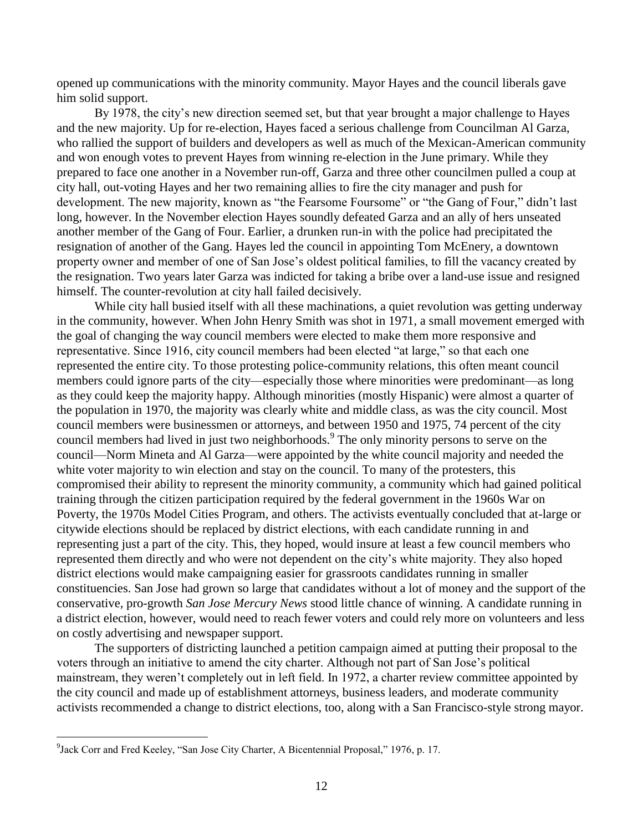opened up communications with the minority community. Mayor Hayes and the council liberals gave him solid support.

By 1978, the city's new direction seemed set, but that year brought a major challenge to Hayes and the new majority. Up for re-election, Hayes faced a serious challenge from Councilman Al Garza, who rallied the support of builders and developers as well as much of the Mexican-American community and won enough votes to prevent Hayes from winning re-election in the June primary. While they prepared to face one another in a November run-off, Garza and three other councilmen pulled a coup at city hall, out-voting Hayes and her two remaining allies to fire the city manager and push for development. The new majority, known as "the Fearsome Foursome" or "the Gang of Four," didn't last long, however. In the November election Hayes soundly defeated Garza and an ally of hers unseated another member of the Gang of Four. Earlier, a drunken run-in with the police had precipitated the resignation of another of the Gang. Hayes led the council in appointing Tom McEnery, a downtown property owner and member of one of San Jose's oldest political families, to fill the vacancy created by the resignation. Two years later Garza was indicted for taking a bribe over a land-use issue and resigned himself. The counter-revolution at city hall failed decisively.

While city hall busied itself with all these machinations, a quiet revolution was getting underway in the community, however. When John Henry Smith was shot in 1971, a small movement emerged with the goal of changing the way council members were elected to make them more responsive and representative. Since 1916, city council members had been elected "at large," so that each one represented the entire city. To those protesting police-community relations, this often meant council members could ignore parts of the city—especially those where minorities were predominant—as long as they could keep the majority happy. Although minorities (mostly Hispanic) were almost a quarter of the population in 1970, the majority was clearly white and middle class, as was the city council. Most council members were businessmen or attorneys, and between 1950 and 1975, 74 percent of the city council members had lived in just two neighborhoods.<sup>9</sup> The only minority persons to serve on the council—Norm Mineta and Al Garza—were appointed by the white council majority and needed the white voter majority to win election and stay on the council. To many of the protesters, this compromised their ability to represent the minority community, a community which had gained political training through the citizen participation required by the federal government in the 1960s War on Poverty, the 1970s Model Cities Program, and others. The activists eventually concluded that at-large or citywide elections should be replaced by district elections, with each candidate running in and representing just a part of the city. This, they hoped, would insure at least a few council members who represented them directly and who were not dependent on the city's white majority. They also hoped district elections would make campaigning easier for grassroots candidates running in smaller constituencies. San Jose had grown so large that candidates without a lot of money and the support of the conservative, pro-growth *San Jose Mercury News* stood little chance of winning. A candidate running in a district election, however, would need to reach fewer voters and could rely more on volunteers and less on costly advertising and newspaper support.

The supporters of districting launched a petition campaign aimed at putting their proposal to the voters through an initiative to amend the city charter. Although not part of San Jose's political mainstream, they weren't completely out in left field. In 1972, a charter review committee appointed by the city council and made up of establishment attorneys, business leaders, and moderate community activists recommended a change to district elections, too, along with a San Francisco-style strong mayor.

<sup>&</sup>lt;sup>9</sup>Jack Corr and Fred Keeley, "San Jose City Charter, A Bicentennial Proposal," 1976, p. 17.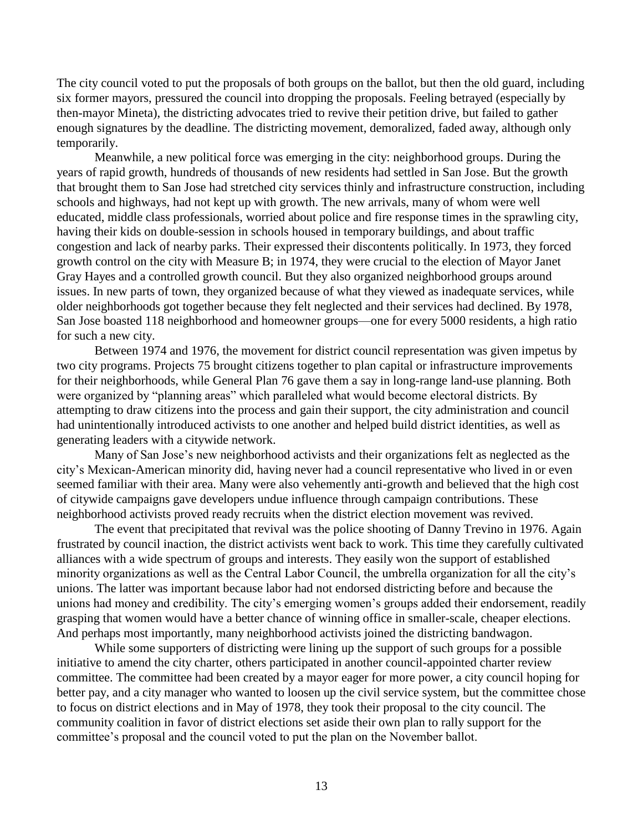The city council voted to put the proposals of both groups on the ballot, but then the old guard, including six former mayors, pressured the council into dropping the proposals. Feeling betrayed (especially by then-mayor Mineta), the districting advocates tried to revive their petition drive, but failed to gather enough signatures by the deadline. The districting movement, demoralized, faded away, although only temporarily.

Meanwhile, a new political force was emerging in the city: neighborhood groups. During the years of rapid growth, hundreds of thousands of new residents had settled in San Jose. But the growth that brought them to San Jose had stretched city services thinly and infrastructure construction, including schools and highways, had not kept up with growth. The new arrivals, many of whom were well educated, middle class professionals, worried about police and fire response times in the sprawling city, having their kids on double-session in schools housed in temporary buildings, and about traffic congestion and lack of nearby parks. Their expressed their discontents politically. In 1973, they forced growth control on the city with Measure B; in 1974, they were crucial to the election of Mayor Janet Gray Hayes and a controlled growth council. But they also organized neighborhood groups around issues. In new parts of town, they organized because of what they viewed as inadequate services, while older neighborhoods got together because they felt neglected and their services had declined. By 1978, San Jose boasted 118 neighborhood and homeowner groups—one for every 5000 residents, a high ratio for such a new city.

Between 1974 and 1976, the movement for district council representation was given impetus by two city programs. Projects 75 brought citizens together to plan capital or infrastructure improvements for their neighborhoods, while General Plan 76 gave them a say in long-range land-use planning. Both were organized by "planning areas" which paralleled what would become electoral districts. By attempting to draw citizens into the process and gain their support, the city administration and council had unintentionally introduced activists to one another and helped build district identities, as well as generating leaders with a citywide network.

Many of San Jose's new neighborhood activists and their organizations felt as neglected as the city's Mexican-American minority did, having never had a council representative who lived in or even seemed familiar with their area. Many were also vehemently anti-growth and believed that the high cost of citywide campaigns gave developers undue influence through campaign contributions. These neighborhood activists proved ready recruits when the district election movement was revived.

The event that precipitated that revival was the police shooting of Danny Trevino in 1976. Again frustrated by council inaction, the district activists went back to work. This time they carefully cultivated alliances with a wide spectrum of groups and interests. They easily won the support of established minority organizations as well as the Central Labor Council, the umbrella organization for all the city's unions. The latter was important because labor had not endorsed districting before and because the unions had money and credibility. The city's emerging women's groups added their endorsement, readily grasping that women would have a better chance of winning office in smaller-scale, cheaper elections. And perhaps most importantly, many neighborhood activists joined the districting bandwagon.

While some supporters of districting were lining up the support of such groups for a possible initiative to amend the city charter, others participated in another council-appointed charter review committee. The committee had been created by a mayor eager for more power, a city council hoping for better pay, and a city manager who wanted to loosen up the civil service system, but the committee chose to focus on district elections and in May of 1978, they took their proposal to the city council. The community coalition in favor of district elections set aside their own plan to rally support for the committee's proposal and the council voted to put the plan on the November ballot.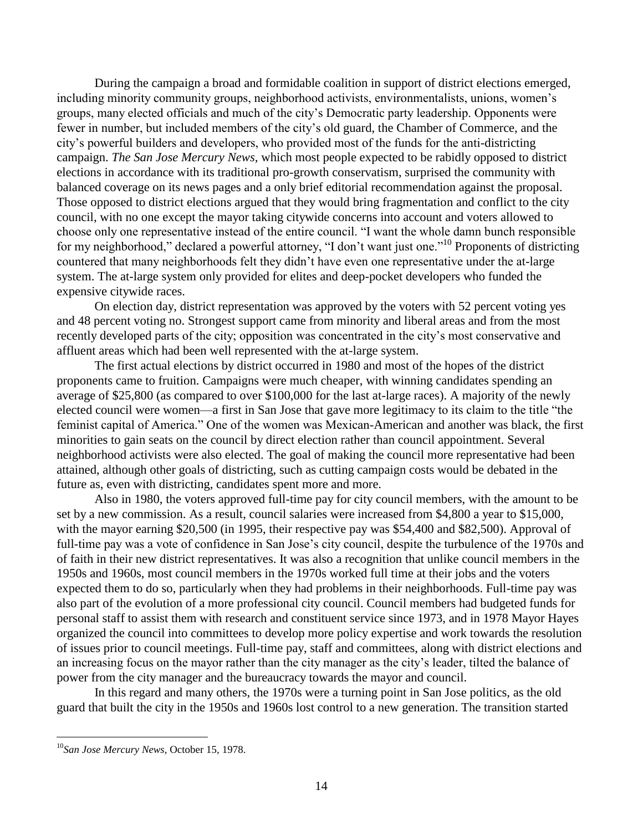During the campaign a broad and formidable coalition in support of district elections emerged, including minority community groups, neighborhood activists, environmentalists, unions, women's groups, many elected officials and much of the city's Democratic party leadership. Opponents were fewer in number, but included members of the city's old guard, the Chamber of Commerce, and the city's powerful builders and developers, who provided most of the funds for the anti-districting campaign. *The San Jose Mercury News,* which most people expected to be rabidly opposed to district elections in accordance with its traditional pro-growth conservatism, surprised the community with balanced coverage on its news pages and a only brief editorial recommendation against the proposal. Those opposed to district elections argued that they would bring fragmentation and conflict to the city council, with no one except the mayor taking citywide concerns into account and voters allowed to choose only one representative instead of the entire council. "I want the whole damn bunch responsible for my neighborhood," declared a powerful attorney, "I don't want just one."<sup>10</sup> Proponents of districting countered that many neighborhoods felt they didn't have even one representative under the at-large system. The at-large system only provided for elites and deep-pocket developers who funded the expensive citywide races.

On election day, district representation was approved by the voters with 52 percent voting yes and 48 percent voting no. Strongest support came from minority and liberal areas and from the most recently developed parts of the city; opposition was concentrated in the city's most conservative and affluent areas which had been well represented with the at-large system.

The first actual elections by district occurred in 1980 and most of the hopes of the district proponents came to fruition. Campaigns were much cheaper, with winning candidates spending an average of \$25,800 (as compared to over \$100,000 for the last at-large races). A majority of the newly elected council were women—a first in San Jose that gave more legitimacy to its claim to the title "the feminist capital of America." One of the women was Mexican-American and another was black, the first minorities to gain seats on the council by direct election rather than council appointment. Several neighborhood activists were also elected. The goal of making the council more representative had been attained, although other goals of districting, such as cutting campaign costs would be debated in the future as, even with districting, candidates spent more and more.

Also in 1980, the voters approved full-time pay for city council members, with the amount to be set by a new commission. As a result, council salaries were increased from \$4,800 a year to \$15,000, with the mayor earning \$20,500 (in 1995, their respective pay was \$54,400 and \$82,500). Approval of full-time pay was a vote of confidence in San Jose's city council, despite the turbulence of the 1970s and of faith in their new district representatives. It was also a recognition that unlike council members in the 1950s and 1960s, most council members in the 1970s worked full time at their jobs and the voters expected them to do so, particularly when they had problems in their neighborhoods. Full-time pay was also part of the evolution of a more professional city council. Council members had budgeted funds for personal staff to assist them with research and constituent service since 1973, and in 1978 Mayor Hayes organized the council into committees to develop more policy expertise and work towards the resolution of issues prior to council meetings. Full-time pay, staff and committees, along with district elections and an increasing focus on the mayor rather than the city manager as the city's leader, tilted the balance of power from the city manager and the bureaucracy towards the mayor and council.

In this regard and many others, the 1970s were a turning point in San Jose politics, as the old guard that built the city in the 1950s and 1960s lost control to a new generation. The transition started

<sup>10</sup>*San Jose Mercury News*, October 15, 1978.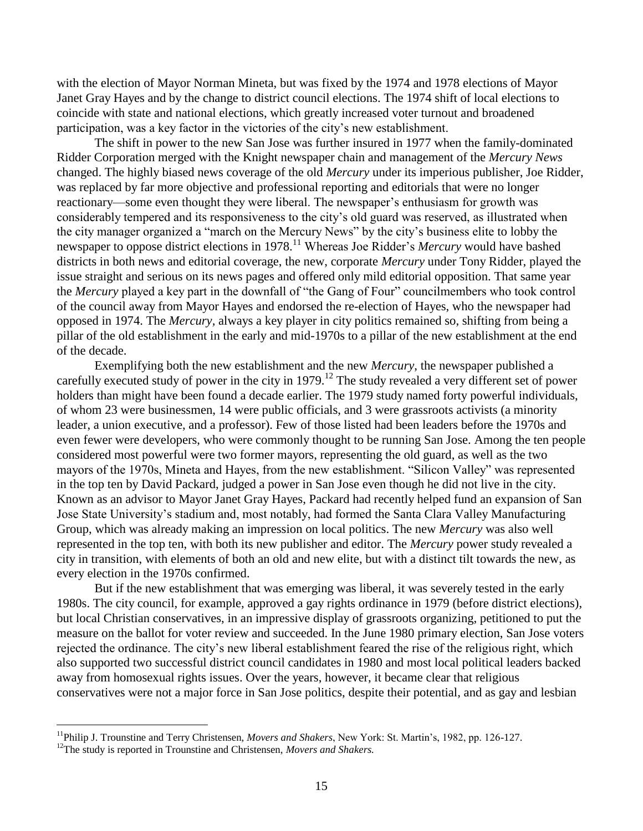with the election of Mayor Norman Mineta, but was fixed by the 1974 and 1978 elections of Mayor Janet Gray Hayes and by the change to district council elections. The 1974 shift of local elections to coincide with state and national elections, which greatly increased voter turnout and broadened participation, was a key factor in the victories of the city's new establishment.

The shift in power to the new San Jose was further insured in 1977 when the family-dominated Ridder Corporation merged with the Knight newspaper chain and management of the *Mercury News* changed. The highly biased news coverage of the old *Mercury* under its imperious publisher, Joe Ridder, was replaced by far more objective and professional reporting and editorials that were no longer reactionary—some even thought they were liberal. The newspaper's enthusiasm for growth was considerably tempered and its responsiveness to the city's old guard was reserved, as illustrated when the city manager organized a "march on the Mercury News" by the city's business elite to lobby the newspaper to oppose district elections in 1978.<sup>11</sup> Whereas Joe Ridder's *Mercury* would have bashed districts in both news and editorial coverage, the new, corporate *Mercury* under Tony Ridder, played the issue straight and serious on its news pages and offered only mild editorial opposition. That same year the *Mercury* played a key part in the downfall of "the Gang of Four" councilmembers who took control of the council away from Mayor Hayes and endorsed the re-election of Hayes, who the newspaper had opposed in 1974. The *Mercury,* always a key player in city politics remained so, shifting from being a pillar of the old establishment in the early and mid-1970s to a pillar of the new establishment at the end of the decade.

Exemplifying both the new establishment and the new *Mercury*, the newspaper published a carefully executed study of power in the city in 1979.<sup>12</sup> The study revealed a very different set of power holders than might have been found a decade earlier. The 1979 study named forty powerful individuals, of whom 23 were businessmen, 14 were public officials, and 3 were grassroots activists (a minority leader, a union executive, and a professor). Few of those listed had been leaders before the 1970s and even fewer were developers, who were commonly thought to be running San Jose. Among the ten people considered most powerful were two former mayors, representing the old guard, as well as the two mayors of the 1970s, Mineta and Hayes, from the new establishment. "Silicon Valley" was represented in the top ten by David Packard, judged a power in San Jose even though he did not live in the city. Known as an advisor to Mayor Janet Gray Hayes, Packard had recently helped fund an expansion of San Jose State University's stadium and, most notably, had formed the Santa Clara Valley Manufacturing Group, which was already making an impression on local politics. The new *Mercury* was also well represented in the top ten, with both its new publisher and editor. The *Mercury* power study revealed a city in transition, with elements of both an old and new elite, but with a distinct tilt towards the new, as every election in the 1970s confirmed.

But if the new establishment that was emerging was liberal, it was severely tested in the early 1980s. The city council, for example, approved a gay rights ordinance in 1979 (before district elections), but local Christian conservatives, in an impressive display of grassroots organizing, petitioned to put the measure on the ballot for voter review and succeeded. In the June 1980 primary election, San Jose voters rejected the ordinance. The city's new liberal establishment feared the rise of the religious right, which also supported two successful district council candidates in 1980 and most local political leaders backed away from homosexual rights issues. Over the years, however, it became clear that religious conservatives were not a major force in San Jose politics, despite their potential, and as gay and lesbian

<sup>11</sup>Philip J. Trounstine and Terry Christensen, *Movers and Shakers*, New York: St. Martin's, 1982, pp. 126-127.

<sup>12</sup>The study is reported in Trounstine and Christensen, *Movers and Shakers.*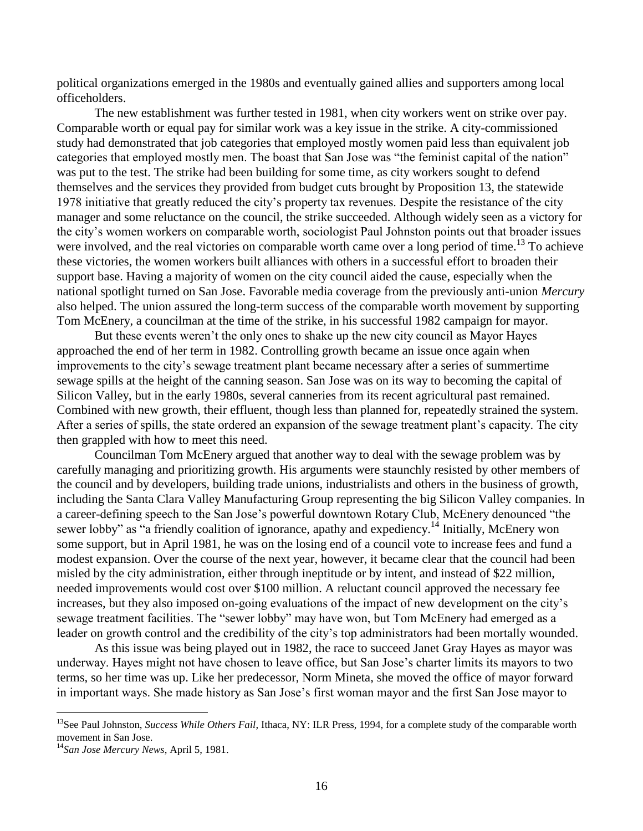political organizations emerged in the 1980s and eventually gained allies and supporters among local officeholders.

The new establishment was further tested in 1981, when city workers went on strike over pay. Comparable worth or equal pay for similar work was a key issue in the strike. A city-commissioned study had demonstrated that job categories that employed mostly women paid less than equivalent job categories that employed mostly men. The boast that San Jose was "the feminist capital of the nation" was put to the test. The strike had been building for some time, as city workers sought to defend themselves and the services they provided from budget cuts brought by Proposition 13, the statewide 1978 initiative that greatly reduced the city's property tax revenues. Despite the resistance of the city manager and some reluctance on the council, the strike succeeded. Although widely seen as a victory for the city's women workers on comparable worth, sociologist Paul Johnston points out that broader issues were involved, and the real victories on comparable worth came over a long period of time.<sup>13</sup> To achieve these victories, the women workers built alliances with others in a successful effort to broaden their support base. Having a majority of women on the city council aided the cause, especially when the national spotlight turned on San Jose. Favorable media coverage from the previously anti-union *Mercury* also helped. The union assured the long-term success of the comparable worth movement by supporting Tom McEnery, a councilman at the time of the strike, in his successful 1982 campaign for mayor.

But these events weren't the only ones to shake up the new city council as Mayor Hayes approached the end of her term in 1982. Controlling growth became an issue once again when improvements to the city's sewage treatment plant became necessary after a series of summertime sewage spills at the height of the canning season. San Jose was on its way to becoming the capital of Silicon Valley, but in the early 1980s, several canneries from its recent agricultural past remained. Combined with new growth, their effluent, though less than planned for, repeatedly strained the system. After a series of spills, the state ordered an expansion of the sewage treatment plant's capacity. The city then grappled with how to meet this need.

Councilman Tom McEnery argued that another way to deal with the sewage problem was by carefully managing and prioritizing growth. His arguments were staunchly resisted by other members of the council and by developers, building trade unions, industrialists and others in the business of growth, including the Santa Clara Valley Manufacturing Group representing the big Silicon Valley companies. In a career-defining speech to the San Jose's powerful downtown Rotary Club, McEnery denounced "the sewer lobby" as "a friendly coalition of ignorance, apathy and expediency.<sup>14</sup> Initially, McEnery won some support, but in April 1981, he was on the losing end of a council vote to increase fees and fund a modest expansion. Over the course of the next year, however, it became clear that the council had been misled by the city administration, either through ineptitude or by intent, and instead of \$22 million, needed improvements would cost over \$100 million. A reluctant council approved the necessary fee increases, but they also imposed on-going evaluations of the impact of new development on the city's sewage treatment facilities. The "sewer lobby" may have won, but Tom McEnery had emerged as a leader on growth control and the credibility of the city's top administrators had been mortally wounded.

As this issue was being played out in 1982, the race to succeed Janet Gray Hayes as mayor was underway. Hayes might not have chosen to leave office, but San Jose's charter limits its mayors to two terms, so her time was up. Like her predecessor, Norm Mineta, she moved the office of mayor forward in important ways. She made history as San Jose's first woman mayor and the first San Jose mayor to

<sup>&</sup>lt;sup>13</sup>See Paul Johnston, *Success While Others Fail*, Ithaca, NY: ILR Press, 1994, for a complete study of the comparable worth movement in San Jose.

<sup>14</sup>*San Jose Mercury News*, April 5, 1981.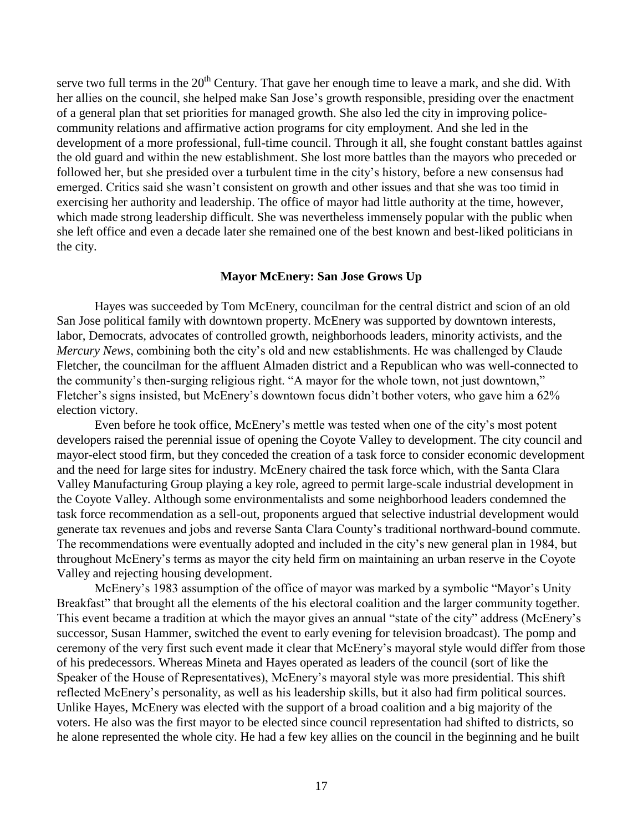serve two full terms in the  $20<sup>th</sup>$  Century. That gave her enough time to leave a mark, and she did. With her allies on the council, she helped make San Jose's growth responsible, presiding over the enactment of a general plan that set priorities for managed growth. She also led the city in improving policecommunity relations and affirmative action programs for city employment. And she led in the development of a more professional, full-time council. Through it all, she fought constant battles against the old guard and within the new establishment. She lost more battles than the mayors who preceded or followed her, but she presided over a turbulent time in the city's history, before a new consensus had emerged. Critics said she wasn't consistent on growth and other issues and that she was too timid in exercising her authority and leadership. The office of mayor had little authority at the time, however, which made strong leadership difficult. She was nevertheless immensely popular with the public when she left office and even a decade later she remained one of the best known and best-liked politicians in the city.

### **Mayor McEnery: San Jose Grows Up**

Hayes was succeeded by Tom McEnery, councilman for the central district and scion of an old San Jose political family with downtown property. McEnery was supported by downtown interests, labor, Democrats, advocates of controlled growth, neighborhoods leaders, minority activists, and the *Mercury News*, combining both the city's old and new establishments. He was challenged by Claude Fletcher, the councilman for the affluent Almaden district and a Republican who was well-connected to the community's then-surging religious right. "A mayor for the whole town, not just downtown," Fletcher's signs insisted, but McEnery's downtown focus didn't bother voters, who gave him a 62% election victory.

Even before he took office, McEnery's mettle was tested when one of the city's most potent developers raised the perennial issue of opening the Coyote Valley to development. The city council and mayor-elect stood firm, but they conceded the creation of a task force to consider economic development and the need for large sites for industry. McEnery chaired the task force which, with the Santa Clara Valley Manufacturing Group playing a key role, agreed to permit large-scale industrial development in the Coyote Valley. Although some environmentalists and some neighborhood leaders condemned the task force recommendation as a sell-out, proponents argued that selective industrial development would generate tax revenues and jobs and reverse Santa Clara County's traditional northward-bound commute. The recommendations were eventually adopted and included in the city's new general plan in 1984, but throughout McEnery's terms as mayor the city held firm on maintaining an urban reserve in the Coyote Valley and rejecting housing development.

McEnery's 1983 assumption of the office of mayor was marked by a symbolic "Mayor's Unity Breakfast" that brought all the elements of the his electoral coalition and the larger community together. This event became a tradition at which the mayor gives an annual "state of the city" address (McEnery's successor, Susan Hammer, switched the event to early evening for television broadcast). The pomp and ceremony of the very first such event made it clear that McEnery's mayoral style would differ from those of his predecessors. Whereas Mineta and Hayes operated as leaders of the council (sort of like the Speaker of the House of Representatives), McEnery's mayoral style was more presidential. This shift reflected McEnery's personality, as well as his leadership skills, but it also had firm political sources. Unlike Hayes, McEnery was elected with the support of a broad coalition and a big majority of the voters. He also was the first mayor to be elected since council representation had shifted to districts, so he alone represented the whole city. He had a few key allies on the council in the beginning and he built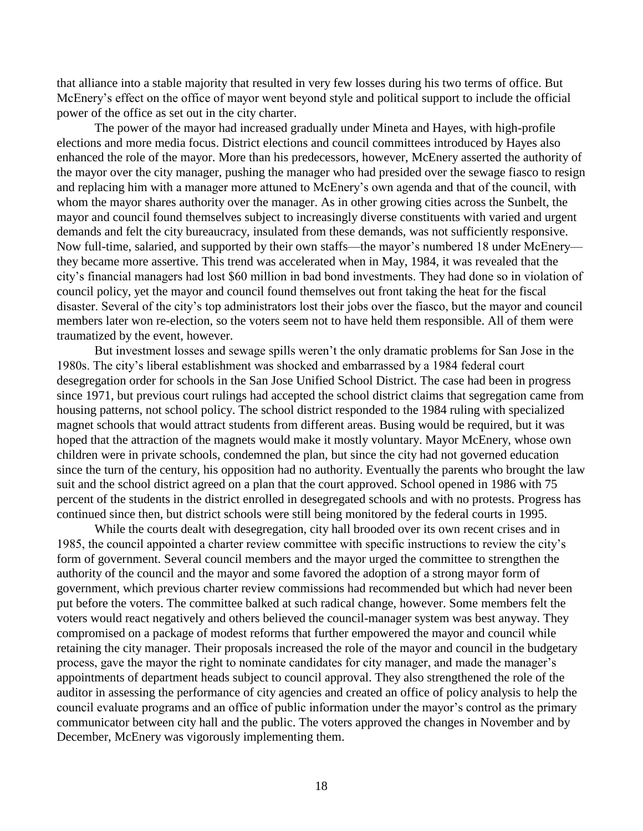that alliance into a stable majority that resulted in very few losses during his two terms of office. But McEnery's effect on the office of mayor went beyond style and political support to include the official power of the office as set out in the city charter.

The power of the mayor had increased gradually under Mineta and Hayes, with high-profile elections and more media focus. District elections and council committees introduced by Hayes also enhanced the role of the mayor. More than his predecessors, however, McEnery asserted the authority of the mayor over the city manager, pushing the manager who had presided over the sewage fiasco to resign and replacing him with a manager more attuned to McEnery's own agenda and that of the council, with whom the mayor shares authority over the manager. As in other growing cities across the Sunbelt, the mayor and council found themselves subject to increasingly diverse constituents with varied and urgent demands and felt the city bureaucracy, insulated from these demands, was not sufficiently responsive. Now full-time, salaried, and supported by their own staffs—the mayor's numbered 18 under McEnery they became more assertive. This trend was accelerated when in May, 1984, it was revealed that the city's financial managers had lost \$60 million in bad bond investments. They had done so in violation of council policy, yet the mayor and council found themselves out front taking the heat for the fiscal disaster. Several of the city's top administrators lost their jobs over the fiasco, but the mayor and council members later won re-election, so the voters seem not to have held them responsible. All of them were traumatized by the event, however.

But investment losses and sewage spills weren't the only dramatic problems for San Jose in the 1980s. The city's liberal establishment was shocked and embarrassed by a 1984 federal court desegregation order for schools in the San Jose Unified School District. The case had been in progress since 1971, but previous court rulings had accepted the school district claims that segregation came from housing patterns, not school policy. The school district responded to the 1984 ruling with specialized magnet schools that would attract students from different areas. Busing would be required, but it was hoped that the attraction of the magnets would make it mostly voluntary. Mayor McEnery, whose own children were in private schools, condemned the plan, but since the city had not governed education since the turn of the century, his opposition had no authority. Eventually the parents who brought the law suit and the school district agreed on a plan that the court approved. School opened in 1986 with 75 percent of the students in the district enrolled in desegregated schools and with no protests. Progress has continued since then, but district schools were still being monitored by the federal courts in 1995.

While the courts dealt with desegregation, city hall brooded over its own recent crises and in 1985, the council appointed a charter review committee with specific instructions to review the city's form of government. Several council members and the mayor urged the committee to strengthen the authority of the council and the mayor and some favored the adoption of a strong mayor form of government, which previous charter review commissions had recommended but which had never been put before the voters. The committee balked at such radical change, however. Some members felt the voters would react negatively and others believed the council-manager system was best anyway. They compromised on a package of modest reforms that further empowered the mayor and council while retaining the city manager. Their proposals increased the role of the mayor and council in the budgetary process, gave the mayor the right to nominate candidates for city manager, and made the manager's appointments of department heads subject to council approval. They also strengthened the role of the auditor in assessing the performance of city agencies and created an office of policy analysis to help the council evaluate programs and an office of public information under the mayor's control as the primary communicator between city hall and the public. The voters approved the changes in November and by December, McEnery was vigorously implementing them.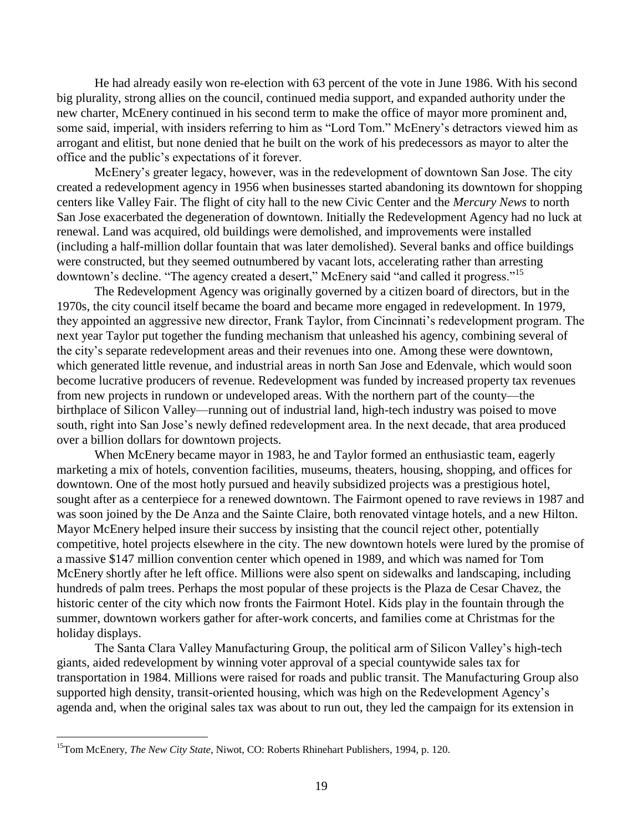He had already easily won re-election with 63 percent of the vote in June 1986. With his second big plurality, strong allies on the council, continued media support, and expanded authority under the new charter, McEnery continued in his second term to make the office of mayor more prominent and, some said, imperial, with insiders referring to him as "Lord Tom." McEnery's detractors viewed him as arrogant and elitist, but none denied that he built on the work of his predecessors as mayor to alter the office and the public's expectations of it forever.

McEnery's greater legacy, however, was in the redevelopment of downtown San Jose. The city created a redevelopment agency in 1956 when businesses started abandoning its downtown for shopping centers like Valley Fair. The flight of city hall to the new Civic Center and the *Mercury News* to north San Jose exacerbated the degeneration of downtown. Initially the Redevelopment Agency had no luck at renewal. Land was acquired, old buildings were demolished, and improvements were installed (including a half-million dollar fountain that was later demolished). Several banks and office buildings were constructed, but they seemed outnumbered by vacant lots, accelerating rather than arresting downtown's decline. "The agency created a desert," McEnery said "and called it progress."<sup>15</sup>

The Redevelopment Agency was originally governed by a citizen board of directors, but in the 1970s, the city council itself became the board and became more engaged in redevelopment. In 1979, they appointed an aggressive new director, Frank Taylor, from Cincinnati's redevelopment program. The next year Taylor put together the funding mechanism that unleashed his agency, combining several of the city's separate redevelopment areas and their revenues into one. Among these were downtown, which generated little revenue, and industrial areas in north San Jose and Edenvale, which would soon become lucrative producers of revenue. Redevelopment was funded by increased property tax revenues from new projects in rundown or undeveloped areas. With the northern part of the county—the birthplace of Silicon Valley—running out of industrial land, high-tech industry was poised to move south, right into San Jose's newly defined redevelopment area. In the next decade, that area produced over a billion dollars for downtown projects.

When McEnery became mayor in 1983, he and Taylor formed an enthusiastic team, eagerly marketing a mix of hotels, convention facilities, museums, theaters, housing, shopping, and offices for downtown. One of the most hotly pursued and heavily subsidized projects was a prestigious hotel, sought after as a centerpiece for a renewed downtown. The Fairmont opened to rave reviews in 1987 and was soon joined by the De Anza and the Sainte Claire, both renovated vintage hotels, and a new Hilton. Mayor McEnery helped insure their success by insisting that the council reject other, potentially competitive, hotel projects elsewhere in the city. The new downtown hotels were lured by the promise of a massive \$147 million convention center which opened in 1989, and which was named for Tom McEnery shortly after he left office. Millions were also spent on sidewalks and landscaping, including hundreds of palm trees. Perhaps the most popular of these projects is the Plaza de Cesar Chavez, the historic center of the city which now fronts the Fairmont Hotel. Kids play in the fountain through the summer, downtown workers gather for after-work concerts, and families come at Christmas for the holiday displays.

The Santa Clara Valley Manufacturing Group, the political arm of Silicon Valley's high-tech giants, aided redevelopment by winning voter approval of a special countywide sales tax for transportation in 1984. Millions were raised for roads and public transit. The Manufacturing Group also supported high density, transit-oriented housing, which was high on the Redevelopment Agency's agenda and, when the original sales tax was about to run out, they led the campaign for its extension in

<sup>15</sup>Tom McEnery, *The New City State*, Niwot, CO: Roberts Rhinehart Publishers, 1994, p. 120.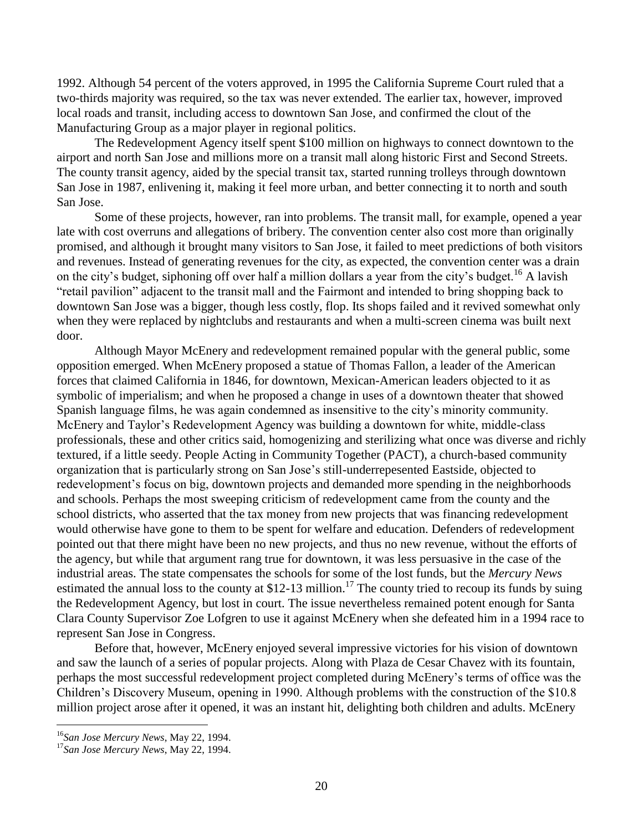1992. Although 54 percent of the voters approved, in 1995 the California Supreme Court ruled that a two-thirds majority was required, so the tax was never extended. The earlier tax, however, improved local roads and transit, including access to downtown San Jose, and confirmed the clout of the Manufacturing Group as a major player in regional politics.

The Redevelopment Agency itself spent \$100 million on highways to connect downtown to the airport and north San Jose and millions more on a transit mall along historic First and Second Streets. The county transit agency, aided by the special transit tax, started running trolleys through downtown San Jose in 1987, enlivening it, making it feel more urban, and better connecting it to north and south San Jose.

Some of these projects, however, ran into problems. The transit mall, for example, opened a year late with cost overruns and allegations of bribery. The convention center also cost more than originally promised, and although it brought many visitors to San Jose, it failed to meet predictions of both visitors and revenues. Instead of generating revenues for the city, as expected, the convention center was a drain on the city's budget, siphoning off over half a million dollars a year from the city's budget.<sup>16</sup> A lavish "retail pavilion" adjacent to the transit mall and the Fairmont and intended to bring shopping back to downtown San Jose was a bigger, though less costly, flop. Its shops failed and it revived somewhat only when they were replaced by nightclubs and restaurants and when a multi-screen cinema was built next door.

Although Mayor McEnery and redevelopment remained popular with the general public, some opposition emerged. When McEnery proposed a statue of Thomas Fallon, a leader of the American forces that claimed California in 1846, for downtown, Mexican-American leaders objected to it as symbolic of imperialism; and when he proposed a change in uses of a downtown theater that showed Spanish language films, he was again condemned as insensitive to the city's minority community. McEnery and Taylor's Redevelopment Agency was building a downtown for white, middle-class professionals, these and other critics said, homogenizing and sterilizing what once was diverse and richly textured, if a little seedy. People Acting in Community Together (PACT), a church-based community organization that is particularly strong on San Jose's still-underrepesented Eastside, objected to redevelopment's focus on big, downtown projects and demanded more spending in the neighborhoods and schools. Perhaps the most sweeping criticism of redevelopment came from the county and the school districts, who asserted that the tax money from new projects that was financing redevelopment would otherwise have gone to them to be spent for welfare and education. Defenders of redevelopment pointed out that there might have been no new projects, and thus no new revenue, without the efforts of the agency, but while that argument rang true for downtown, it was less persuasive in the case of the industrial areas. The state compensates the schools for some of the lost funds, but the *Mercury News* estimated the annual loss to the county at \$12-13 million.<sup>17</sup> The county tried to recoup its funds by suing the Redevelopment Agency, but lost in court. The issue nevertheless remained potent enough for Santa Clara County Supervisor Zoe Lofgren to use it against McEnery when she defeated him in a 1994 race to represent San Jose in Congress.

Before that, however, McEnery enjoyed several impressive victories for his vision of downtown and saw the launch of a series of popular projects. Along with Plaza de Cesar Chavez with its fountain, perhaps the most successful redevelopment project completed during McEnery's terms of office was the Children's Discovery Museum, opening in 1990. Although problems with the construction of the \$10.8 million project arose after it opened, it was an instant hit, delighting both children and adults. McEnery

<sup>16</sup>*San Jose Mercury News*, May 22, 1994.

<sup>17</sup>*San Jose Mercury News*, May 22, 1994.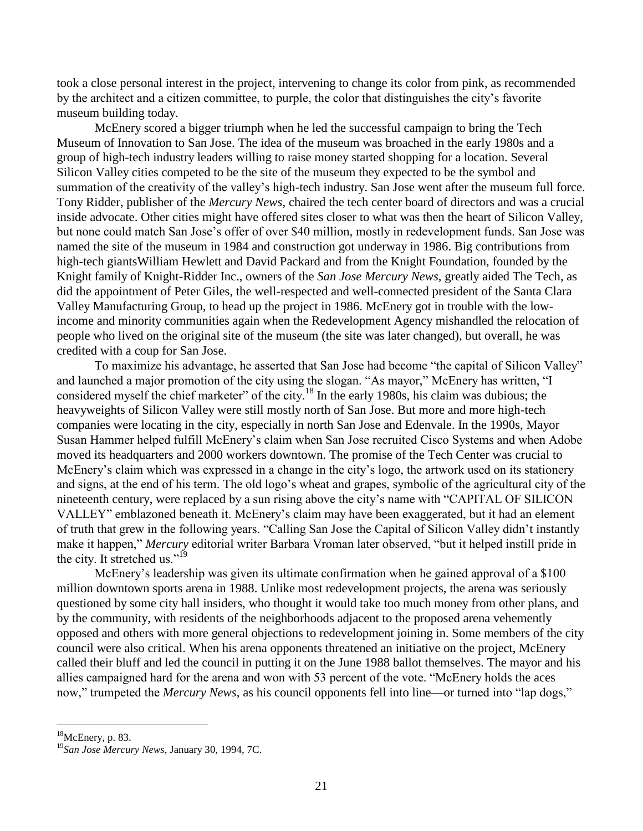took a close personal interest in the project, intervening to change its color from pink, as recommended by the architect and a citizen committee, to purple, the color that distinguishes the city's favorite museum building today.

McEnery scored a bigger triumph when he led the successful campaign to bring the Tech Museum of Innovation to San Jose. The idea of the museum was broached in the early 1980s and a group of high-tech industry leaders willing to raise money started shopping for a location. Several Silicon Valley cities competed to be the site of the museum they expected to be the symbol and summation of the creativity of the valley's high-tech industry. San Jose went after the museum full force. Tony Ridder, publisher of the *Mercury News*, chaired the tech center board of directors and was a crucial inside advocate. Other cities might have offered sites closer to what was then the heart of Silicon Valley, but none could match San Jose's offer of over \$40 million, mostly in redevelopment funds. San Jose was named the site of the museum in 1984 and construction got underway in 1986. Big contributions from high-tech giantsWilliam Hewlett and David Packard and from the Knight Foundation, founded by the Knight family of Knight-Ridder Inc., owners of the *San Jose Mercury News,* greatly aided The Tech, as did the appointment of Peter Giles, the well-respected and well-connected president of the Santa Clara Valley Manufacturing Group, to head up the project in 1986. McEnery got in trouble with the lowincome and minority communities again when the Redevelopment Agency mishandled the relocation of people who lived on the original site of the museum (the site was later changed), but overall, he was credited with a coup for San Jose.

To maximize his advantage, he asserted that San Jose had become "the capital of Silicon Valley" and launched a major promotion of the city using the slogan. "As mayor," McEnery has written, "I considered myself the chief marketer" of the city.<sup>18</sup> In the early 1980s, his claim was dubious; the heavyweights of Silicon Valley were still mostly north of San Jose. But more and more high-tech companies were locating in the city, especially in north San Jose and Edenvale. In the 1990s, Mayor Susan Hammer helped fulfill McEnery's claim when San Jose recruited Cisco Systems and when Adobe moved its headquarters and 2000 workers downtown. The promise of the Tech Center was crucial to McEnery's claim which was expressed in a change in the city's logo, the artwork used on its stationery and signs, at the end of his term. The old logo's wheat and grapes, symbolic of the agricultural city of the nineteenth century, were replaced by a sun rising above the city's name with "CAPITAL OF SILICON VALLEY" emblazoned beneath it. McEnery's claim may have been exaggerated, but it had an element of truth that grew in the following years. "Calling San Jose the Capital of Silicon Valley didn't instantly make it happen," *Mercury* editorial writer Barbara Vroman later observed, "but it helped instill pride in the city. It stretched us." $19$ 

McEnery's leadership was given its ultimate confirmation when he gained approval of a \$100 million downtown sports arena in 1988. Unlike most redevelopment projects, the arena was seriously questioned by some city hall insiders, who thought it would take too much money from other plans, and by the community, with residents of the neighborhoods adjacent to the proposed arena vehemently opposed and others with more general objections to redevelopment joining in. Some members of the city council were also critical. When his arena opponents threatened an initiative on the project, McEnery called their bluff and led the council in putting it on the June 1988 ballot themselves. The mayor and his allies campaigned hard for the arena and won with 53 percent of the vote. "McEnery holds the aces now," trumpeted the *Mercury News*, as his council opponents fell into line—or turned into "lap dogs,"

 $18$ McEnery, p. 83.

<sup>19</sup>*San Jose Mercury News*, January 30, 1994, 7C.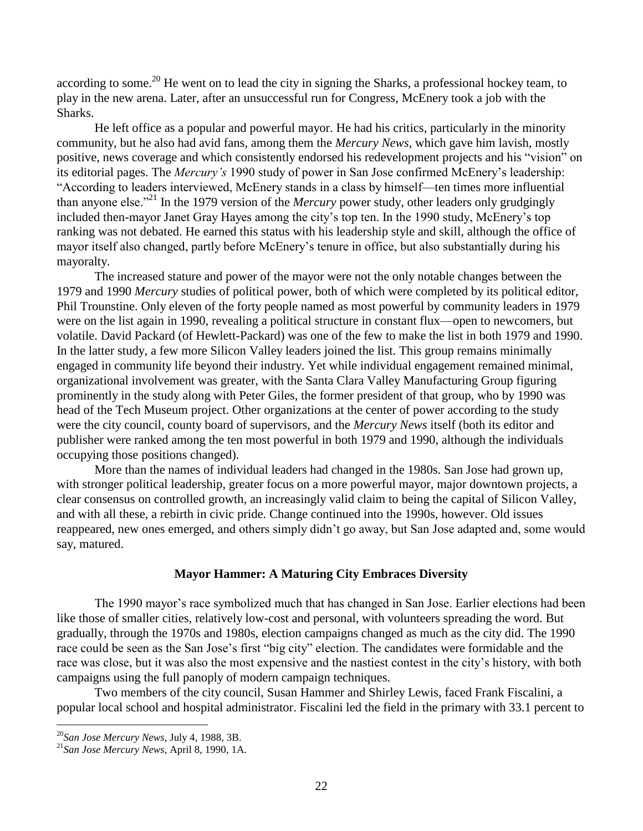according to some.<sup>20</sup> He went on to lead the city in signing the Sharks, a professional hockey team, to play in the new arena. Later, after an unsuccessful run for Congress, McEnery took a job with the Sharks.

He left office as a popular and powerful mayor. He had his critics, particularly in the minority community, but he also had avid fans, among them the *Mercury News*, which gave him lavish, mostly positive, news coverage and which consistently endorsed his redevelopment projects and his "vision" on its editorial pages. The *Mercury's* 1990 study of power in San Jose confirmed McEnery's leadership: "According to leaders interviewed, McEnery stands in a class by himself—ten times more influential than anyone else."<sup>21</sup> In the 1979 version of the *Mercury* power study, other leaders only grudgingly included then-mayor Janet Gray Hayes among the city's top ten. In the 1990 study, McEnery's top ranking was not debated. He earned this status with his leadership style and skill, although the office of mayor itself also changed, partly before McEnery's tenure in office, but also substantially during his mayoralty.

The increased stature and power of the mayor were not the only notable changes between the 1979 and 1990 *Mercury* studies of political power, both of which were completed by its political editor, Phil Trounstine. Only eleven of the forty people named as most powerful by community leaders in 1979 were on the list again in 1990, revealing a political structure in constant flux—open to newcomers, but volatile. David Packard (of Hewlett-Packard) was one of the few to make the list in both 1979 and 1990. In the latter study, a few more Silicon Valley leaders joined the list. This group remains minimally engaged in community life beyond their industry. Yet while individual engagement remained minimal, organizational involvement was greater, with the Santa Clara Valley Manufacturing Group figuring prominently in the study along with Peter Giles, the former president of that group, who by 1990 was head of the Tech Museum project. Other organizations at the center of power according to the study were the city council, county board of supervisors, and the *Mercury News* itself (both its editor and publisher were ranked among the ten most powerful in both 1979 and 1990, although the individuals occupying those positions changed).

More than the names of individual leaders had changed in the 1980s. San Jose had grown up, with stronger political leadership, greater focus on a more powerful mayor, major downtown projects, a clear consensus on controlled growth, an increasingly valid claim to being the capital of Silicon Valley, and with all these, a rebirth in civic pride. Change continued into the 1990s, however. Old issues reappeared, new ones emerged, and others simply didn't go away, but San Jose adapted and, some would say, matured.

## **Mayor Hammer: A Maturing City Embraces Diversity**

The 1990 mayor's race symbolized much that has changed in San Jose. Earlier elections had been like those of smaller cities, relatively low-cost and personal, with volunteers spreading the word. But gradually, through the 1970s and 1980s, election campaigns changed as much as the city did. The 1990 race could be seen as the San Jose's first "big city" election. The candidates were formidable and the race was close, but it was also the most expensive and the nastiest contest in the city's history, with both campaigns using the full panoply of modern campaign techniques.

Two members of the city council, Susan Hammer and Shirley Lewis, faced Frank Fiscalini, a popular local school and hospital administrator. Fiscalini led the field in the primary with 33.1 percent to

<sup>20</sup>*San Jose Mercury News*, July 4, 1988, 3B.

<sup>21</sup>*San Jose Mercury News*, April 8, 1990, 1A.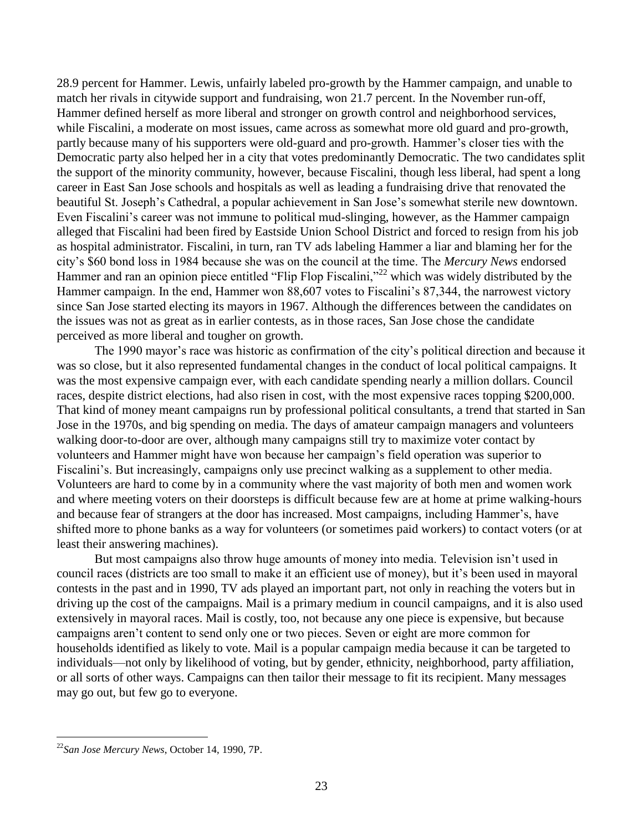28.9 percent for Hammer. Lewis, unfairly labeled pro-growth by the Hammer campaign, and unable to match her rivals in citywide support and fundraising, won 21.7 percent. In the November run-off, Hammer defined herself as more liberal and stronger on growth control and neighborhood services, while Fiscalini, a moderate on most issues, came across as somewhat more old guard and pro-growth, partly because many of his supporters were old-guard and pro-growth. Hammer's closer ties with the Democratic party also helped her in a city that votes predominantly Democratic. The two candidates split the support of the minority community, however, because Fiscalini, though less liberal, had spent a long career in East San Jose schools and hospitals as well as leading a fundraising drive that renovated the beautiful St. Joseph's Cathedral, a popular achievement in San Jose's somewhat sterile new downtown. Even Fiscalini's career was not immune to political mud-slinging, however, as the Hammer campaign alleged that Fiscalini had been fired by Eastside Union School District and forced to resign from his job as hospital administrator. Fiscalini, in turn, ran TV ads labeling Hammer a liar and blaming her for the city's \$60 bond loss in 1984 because she was on the council at the time. The *Mercury News* endorsed Hammer and ran an opinion piece entitled "Flip Flop Fiscalini,"<sup>22</sup> which was widely distributed by the Hammer campaign. In the end, Hammer won 88,607 votes to Fiscalini's 87,344, the narrowest victory since San Jose started electing its mayors in 1967. Although the differences between the candidates on the issues was not as great as in earlier contests, as in those races, San Jose chose the candidate perceived as more liberal and tougher on growth.

The 1990 mayor's race was historic as confirmation of the city's political direction and because it was so close, but it also represented fundamental changes in the conduct of local political campaigns. It was the most expensive campaign ever, with each candidate spending nearly a million dollars. Council races, despite district elections, had also risen in cost, with the most expensive races topping \$200,000. That kind of money meant campaigns run by professional political consultants, a trend that started in San Jose in the 1970s, and big spending on media. The days of amateur campaign managers and volunteers walking door-to-door are over, although many campaigns still try to maximize voter contact by volunteers and Hammer might have won because her campaign's field operation was superior to Fiscalini's. But increasingly, campaigns only use precinct walking as a supplement to other media. Volunteers are hard to come by in a community where the vast majority of both men and women work and where meeting voters on their doorsteps is difficult because few are at home at prime walking-hours and because fear of strangers at the door has increased. Most campaigns, including Hammer's, have shifted more to phone banks as a way for volunteers (or sometimes paid workers) to contact voters (or at least their answering machines).

But most campaigns also throw huge amounts of money into media. Television isn't used in council races (districts are too small to make it an efficient use of money), but it's been used in mayoral contests in the past and in 1990, TV ads played an important part, not only in reaching the voters but in driving up the cost of the campaigns. Mail is a primary medium in council campaigns, and it is also used extensively in mayoral races. Mail is costly, too, not because any one piece is expensive, but because campaigns aren't content to send only one or two pieces. Seven or eight are more common for households identified as likely to vote. Mail is a popular campaign media because it can be targeted to individuals—not only by likelihood of voting, but by gender, ethnicity, neighborhood, party affiliation, or all sorts of other ways. Campaigns can then tailor their message to fit its recipient. Many messages may go out, but few go to everyone.

<sup>22</sup>*San Jose Mercury News*, October 14, 1990, 7P.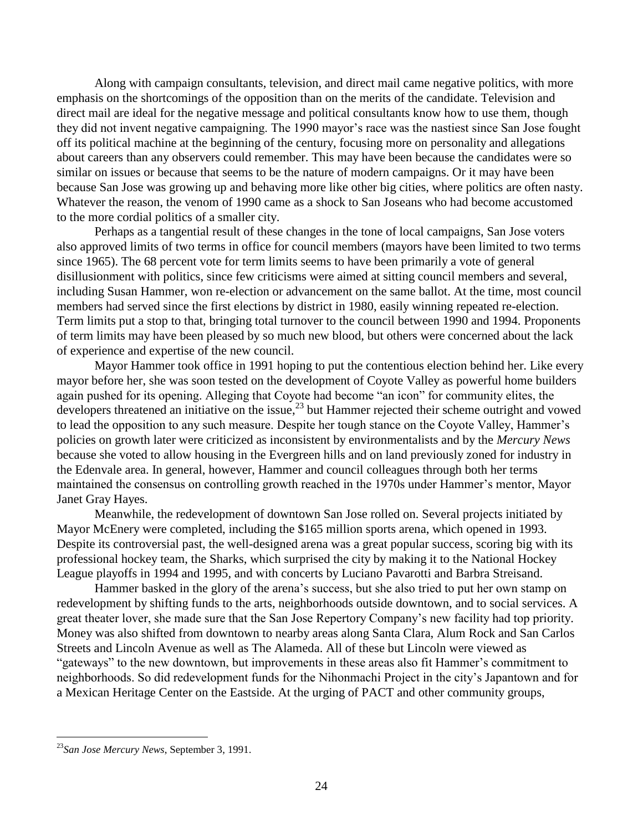Along with campaign consultants, television, and direct mail came negative politics, with more emphasis on the shortcomings of the opposition than on the merits of the candidate. Television and direct mail are ideal for the negative message and political consultants know how to use them, though they did not invent negative campaigning. The 1990 mayor's race was the nastiest since San Jose fought off its political machine at the beginning of the century, focusing more on personality and allegations about careers than any observers could remember. This may have been because the candidates were so similar on issues or because that seems to be the nature of modern campaigns. Or it may have been because San Jose was growing up and behaving more like other big cities, where politics are often nasty. Whatever the reason, the venom of 1990 came as a shock to San Joseans who had become accustomed to the more cordial politics of a smaller city.

Perhaps as a tangential result of these changes in the tone of local campaigns, San Jose voters also approved limits of two terms in office for council members (mayors have been limited to two terms since 1965). The 68 percent vote for term limits seems to have been primarily a vote of general disillusionment with politics, since few criticisms were aimed at sitting council members and several, including Susan Hammer, won re-election or advancement on the same ballot. At the time, most council members had served since the first elections by district in 1980, easily winning repeated re-election. Term limits put a stop to that, bringing total turnover to the council between 1990 and 1994. Proponents of term limits may have been pleased by so much new blood, but others were concerned about the lack of experience and expertise of the new council.

Mayor Hammer took office in 1991 hoping to put the contentious election behind her. Like every mayor before her, she was soon tested on the development of Coyote Valley as powerful home builders again pushed for its opening. Alleging that Coyote had become "an icon" for community elites, the developers threatened an initiative on the issue,<sup>23</sup> but Hammer rejected their scheme outright and vowed to lead the opposition to any such measure. Despite her tough stance on the Coyote Valley, Hammer's policies on growth later were criticized as inconsistent by environmentalists and by the *Mercury News* because she voted to allow housing in the Evergreen hills and on land previously zoned for industry in the Edenvale area. In general, however, Hammer and council colleagues through both her terms maintained the consensus on controlling growth reached in the 1970s under Hammer's mentor, Mayor Janet Gray Hayes.

Meanwhile, the redevelopment of downtown San Jose rolled on. Several projects initiated by Mayor McEnery were completed, including the \$165 million sports arena, which opened in 1993. Despite its controversial past, the well-designed arena was a great popular success, scoring big with its professional hockey team, the Sharks, which surprised the city by making it to the National Hockey League playoffs in 1994 and 1995, and with concerts by Luciano Pavarotti and Barbra Streisand.

Hammer basked in the glory of the arena's success, but she also tried to put her own stamp on redevelopment by shifting funds to the arts, neighborhoods outside downtown, and to social services. A great theater lover, she made sure that the San Jose Repertory Company's new facility had top priority. Money was also shifted from downtown to nearby areas along Santa Clara, Alum Rock and San Carlos Streets and Lincoln Avenue as well as The Alameda. All of these but Lincoln were viewed as "gateways" to the new downtown, but improvements in these areas also fit Hammer's commitment to neighborhoods. So did redevelopment funds for the Nihonmachi Project in the city's Japantown and for a Mexican Heritage Center on the Eastside. At the urging of PACT and other community groups,

<sup>23</sup>*San Jose Mercury News*, September 3, 1991.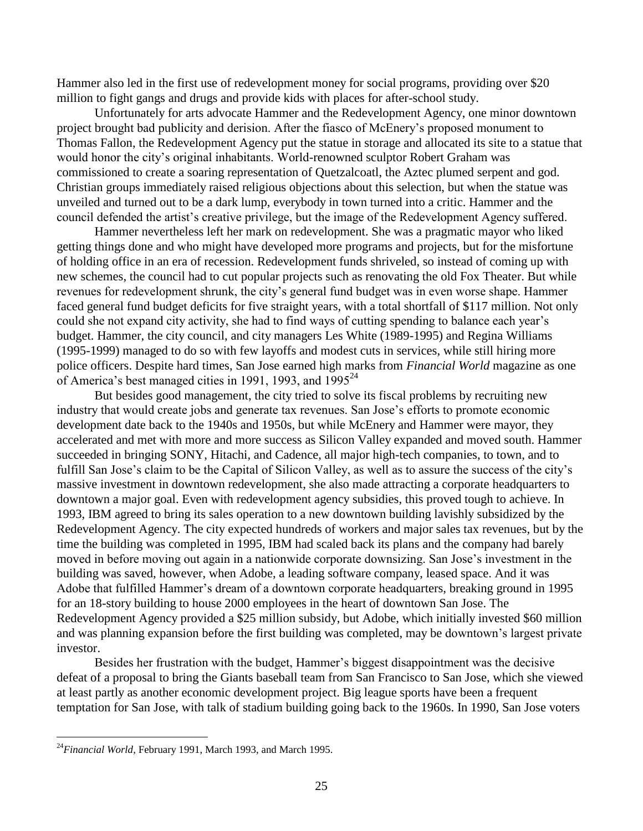Hammer also led in the first use of redevelopment money for social programs, providing over \$20 million to fight gangs and drugs and provide kids with places for after-school study.

Unfortunately for arts advocate Hammer and the Redevelopment Agency, one minor downtown project brought bad publicity and derision. After the fiasco of McEnery's proposed monument to Thomas Fallon, the Redevelopment Agency put the statue in storage and allocated its site to a statue that would honor the city's original inhabitants. World-renowned sculptor Robert Graham was commissioned to create a soaring representation of Quetzalcoatl, the Aztec plumed serpent and god. Christian groups immediately raised religious objections about this selection, but when the statue was unveiled and turned out to be a dark lump, everybody in town turned into a critic. Hammer and the council defended the artist's creative privilege, but the image of the Redevelopment Agency suffered.

Hammer nevertheless left her mark on redevelopment. She was a pragmatic mayor who liked getting things done and who might have developed more programs and projects, but for the misfortune of holding office in an era of recession. Redevelopment funds shriveled, so instead of coming up with new schemes, the council had to cut popular projects such as renovating the old Fox Theater. But while revenues for redevelopment shrunk, the city's general fund budget was in even worse shape. Hammer faced general fund budget deficits for five straight years, with a total shortfall of \$117 million. Not only could she not expand city activity, she had to find ways of cutting spending to balance each year's budget. Hammer, the city council, and city managers Les White (1989-1995) and Regina Williams (1995-1999) managed to do so with few layoffs and modest cuts in services, while still hiring more police officers. Despite hard times, San Jose earned high marks from *Financial World* magazine as one of America's best managed cities in 1991, 1993, and 1995<sup>24</sup>

But besides good management, the city tried to solve its fiscal problems by recruiting new industry that would create jobs and generate tax revenues. San Jose's efforts to promote economic development date back to the 1940s and 1950s, but while McEnery and Hammer were mayor, they accelerated and met with more and more success as Silicon Valley expanded and moved south. Hammer succeeded in bringing SONY, Hitachi, and Cadence, all major high-tech companies, to town, and to fulfill San Jose's claim to be the Capital of Silicon Valley, as well as to assure the success of the city's massive investment in downtown redevelopment, she also made attracting a corporate headquarters to downtown a major goal. Even with redevelopment agency subsidies, this proved tough to achieve. In 1993, IBM agreed to bring its sales operation to a new downtown building lavishly subsidized by the Redevelopment Agency. The city expected hundreds of workers and major sales tax revenues, but by the time the building was completed in 1995, IBM had scaled back its plans and the company had barely moved in before moving out again in a nationwide corporate downsizing. San Jose's investment in the building was saved, however, when Adobe, a leading software company, leased space. And it was Adobe that fulfilled Hammer's dream of a downtown corporate headquarters, breaking ground in 1995 for an 18-story building to house 2000 employees in the heart of downtown San Jose. The Redevelopment Agency provided a \$25 million subsidy, but Adobe, which initially invested \$60 million and was planning expansion before the first building was completed, may be downtown's largest private investor.

Besides her frustration with the budget, Hammer's biggest disappointment was the decisive defeat of a proposal to bring the Giants baseball team from San Francisco to San Jose, which she viewed at least partly as another economic development project. Big league sports have been a frequent temptation for San Jose, with talk of stadium building going back to the 1960s. In 1990, San Jose voters

<sup>&</sup>lt;sup>24</sup>Financial World, February 1991, March 1993, and March 1995.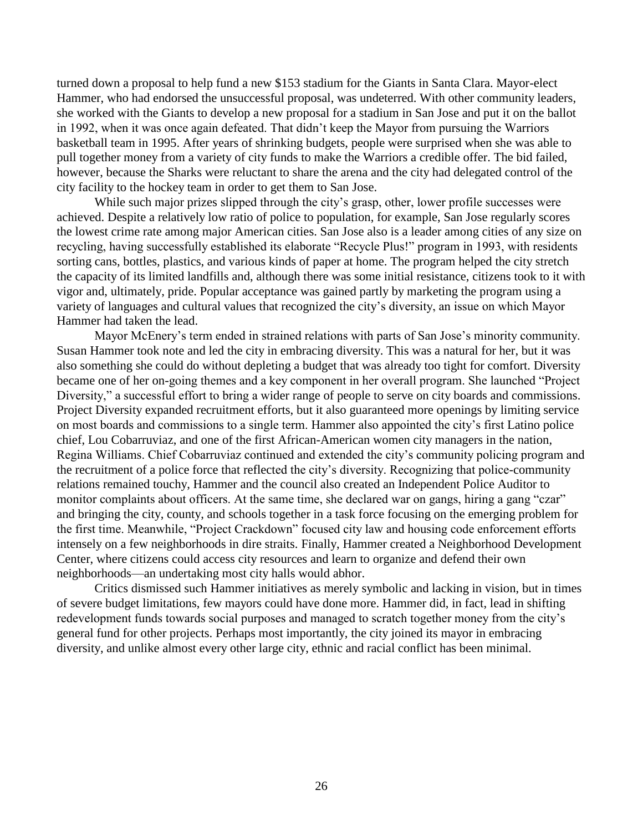turned down a proposal to help fund a new \$153 stadium for the Giants in Santa Clara. Mayor-elect Hammer, who had endorsed the unsuccessful proposal, was undeterred. With other community leaders, she worked with the Giants to develop a new proposal for a stadium in San Jose and put it on the ballot in 1992, when it was once again defeated. That didn't keep the Mayor from pursuing the Warriors basketball team in 1995. After years of shrinking budgets, people were surprised when she was able to pull together money from a variety of city funds to make the Warriors a credible offer. The bid failed, however, because the Sharks were reluctant to share the arena and the city had delegated control of the city facility to the hockey team in order to get them to San Jose.

While such major prizes slipped through the city's grasp, other, lower profile successes were achieved. Despite a relatively low ratio of police to population, for example, San Jose regularly scores the lowest crime rate among major American cities. San Jose also is a leader among cities of any size on recycling, having successfully established its elaborate "Recycle Plus!" program in 1993, with residents sorting cans, bottles, plastics, and various kinds of paper at home. The program helped the city stretch the capacity of its limited landfills and, although there was some initial resistance, citizens took to it with vigor and, ultimately, pride. Popular acceptance was gained partly by marketing the program using a variety of languages and cultural values that recognized the city's diversity, an issue on which Mayor Hammer had taken the lead.

Mayor McEnery's term ended in strained relations with parts of San Jose's minority community. Susan Hammer took note and led the city in embracing diversity. This was a natural for her, but it was also something she could do without depleting a budget that was already too tight for comfort. Diversity became one of her on-going themes and a key component in her overall program. She launched "Project Diversity," a successful effort to bring a wider range of people to serve on city boards and commissions. Project Diversity expanded recruitment efforts, but it also guaranteed more openings by limiting service on most boards and commissions to a single term. Hammer also appointed the city's first Latino police chief, Lou Cobarruviaz, and one of the first African-American women city managers in the nation, Regina Williams. Chief Cobarruviaz continued and extended the city's community policing program and the recruitment of a police force that reflected the city's diversity. Recognizing that police-community relations remained touchy, Hammer and the council also created an Independent Police Auditor to monitor complaints about officers. At the same time, she declared war on gangs, hiring a gang "czar" and bringing the city, county, and schools together in a task force focusing on the emerging problem for the first time. Meanwhile, "Project Crackdown" focused city law and housing code enforcement efforts intensely on a few neighborhoods in dire straits. Finally, Hammer created a Neighborhood Development Center, where citizens could access city resources and learn to organize and defend their own neighborhoods—an undertaking most city halls would abhor.

Critics dismissed such Hammer initiatives as merely symbolic and lacking in vision, but in times of severe budget limitations, few mayors could have done more. Hammer did, in fact, lead in shifting redevelopment funds towards social purposes and managed to scratch together money from the city's general fund for other projects. Perhaps most importantly, the city joined its mayor in embracing diversity, and unlike almost every other large city, ethnic and racial conflict has been minimal.